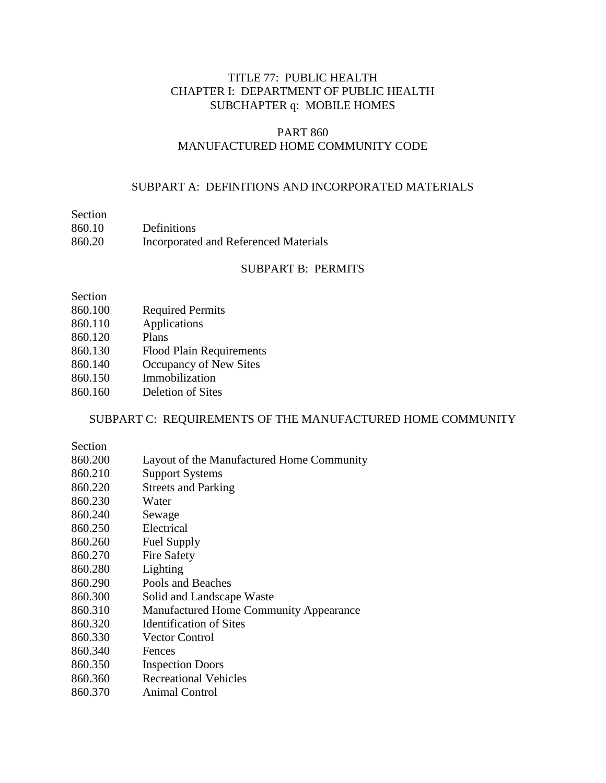### TITLE 77: PUBLIC HEALTH CHAPTER I: DEPARTMENT OF PUBLIC HEALTH SUBCHAPTER q: MOBILE HOMES

#### PART 860 MANUFACTURED HOME COMMUNITY CODE

#### SUBPART A: DEFINITIONS AND INCORPORATED MATERIALS

## Section

| 860.10 | Definitions                           |
|--------|---------------------------------------|
| 860.20 | Incorporated and Referenced Materials |

#### SUBPART B: PERMITS

Section

- 860.100 Required Permits
- 860.110 Applications
- 860.120 Plans
- 860.130 Flood Plain Requirements
- 860.140 Occupancy of New Sites
- 860.150 Immobilization
- 860.160 Deletion of Sites

#### SUBPART C: REQUIREMENTS OF THE MANUFACTURED HOME COMMUNITY

Section

- 860.200 Layout of the Manufactured Home Community
- 860.210 Support Systems
- 860.220 Streets and Parking
- 860.230 Water
- 860.240 Sewage
- 860.250 Electrical
- 860.260 Fuel Supply
- 860.270 Fire Safety
- 860.280 Lighting
- 860.290 Pools and Beaches
- 860.300 Solid and Landscape Waste
- 860.310 Manufactured Home Community Appearance
- 860.320 Identification of Sites
- 860.330 Vector Control
- 860.340 Fences
- 860.350 Inspection Doors
- 860.360 Recreational Vehicles
- 860.370 Animal Control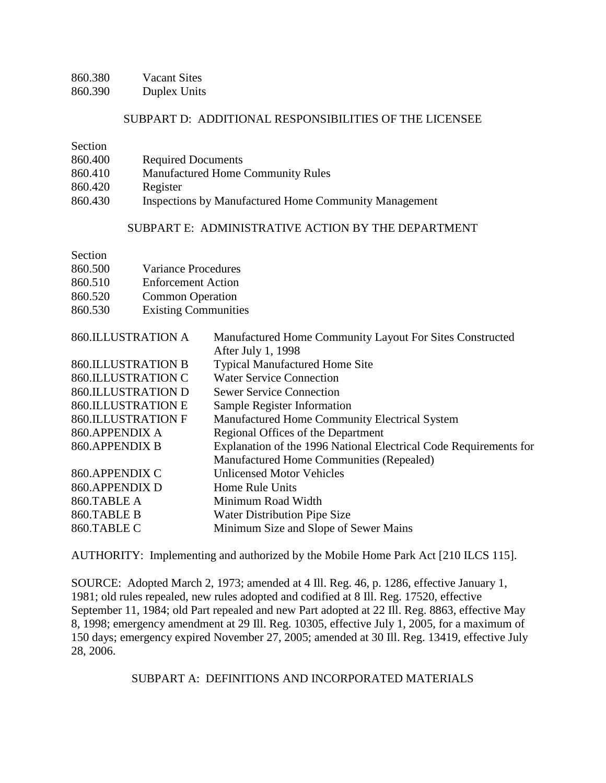| 860.380 | <b>Vacant Sites</b> |
|---------|---------------------|
| 860.390 | Duplex Units        |

#### SUBPART D: ADDITIONAL RESPONSIBILITIES OF THE LICENSEE

Section

| 860.400 | <b>Required Documents</b> |
|---------|---------------------------|
|---------|---------------------------|

- 860.410 Manufactured Home Community Rules
- 860.420 Register
- 860.430 Inspections by Manufactured Home Community Management

#### SUBPART E: ADMINISTRATIVE ACTION BY THE DEPARTMENT

| Section |
|---------|
|         |

| 860.500 | <b>Variance Procedures</b>  |
|---------|-----------------------------|
| 860.510 | <b>Enforcement Action</b>   |
| 860.520 | <b>Common Operation</b>     |
| 860.530 | <b>Existing Communities</b> |

| <b>860.ILLUSTRATION A</b> | Manufactured Home Community Layout For Sites Constructed          |
|---------------------------|-------------------------------------------------------------------|
|                           | After July 1, 1998                                                |
| <b>860.ILLUSTRATION B</b> | <b>Typical Manufactured Home Site</b>                             |
| <b>860.ILLUSTRATION C</b> | <b>Water Service Connection</b>                                   |
| <b>860.ILLUSTRATION D</b> | <b>Sewer Service Connection</b>                                   |
| <b>860.ILLUSTRATION E</b> | Sample Register Information                                       |
| <b>860.ILLUSTRATION F</b> | Manufactured Home Community Electrical System                     |
| 860.APPENDIX A            | Regional Offices of the Department                                |
| 860.APPENDIX B            | Explanation of the 1996 National Electrical Code Requirements for |
|                           | Manufactured Home Communities (Repealed)                          |
| 860.APPENDIX C            | <b>Unlicensed Motor Vehicles</b>                                  |
| 860.APPENDIX D            | Home Rule Units                                                   |
| 860.TABLE A               | Minimum Road Width                                                |
| 860.TABLE B               | Water Distribution Pipe Size                                      |
| 860.TABLE C               | Minimum Size and Slope of Sewer Mains                             |

AUTHORITY: Implementing and authorized by the Mobile Home Park Act [210 ILCS 115].

SOURCE: Adopted March 2, 1973; amended at 4 Ill. Reg. 46, p. 1286, effective January 1, 1981; old rules repealed, new rules adopted and codified at 8 Ill. Reg. 17520, effective September 11, 1984; old Part repealed and new Part adopted at 22 Ill. Reg. 8863, effective May 8, 1998; emergency amendment at 29 Ill. Reg. 10305, effective July 1, 2005, for a maximum of 150 days; emergency expired November 27, 2005; amended at 30 Ill. Reg. 13419, effective July 28, 2006.

SUBPART A: DEFINITIONS AND INCORPORATED MATERIALS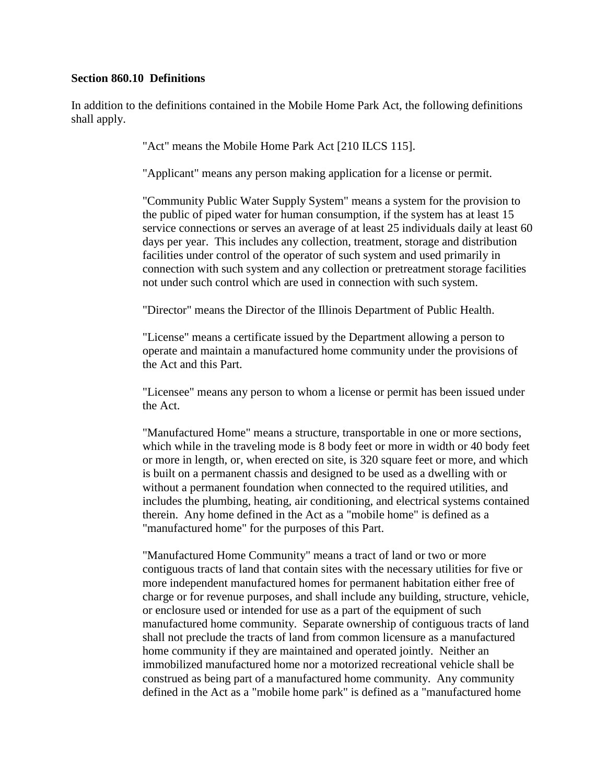#### **Section 860.10 Definitions**

In addition to the definitions contained in the Mobile Home Park Act, the following definitions shall apply.

"Act" means the Mobile Home Park Act [210 ILCS 115].

"Applicant" means any person making application for a license or permit.

"Community Public Water Supply System" means a system for the provision to the public of piped water for human consumption, if the system has at least 15 service connections or serves an average of at least 25 individuals daily at least 60 days per year. This includes any collection, treatment, storage and distribution facilities under control of the operator of such system and used primarily in connection with such system and any collection or pretreatment storage facilities not under such control which are used in connection with such system.

"Director" means the Director of the Illinois Department of Public Health.

"License" means a certificate issued by the Department allowing a person to operate and maintain a manufactured home community under the provisions of the Act and this Part.

"Licensee" means any person to whom a license or permit has been issued under the Act.

"Manufactured Home" means a structure, transportable in one or more sections, which while in the traveling mode is 8 body feet or more in width or 40 body feet or more in length, or, when erected on site, is 320 square feet or more, and which is built on a permanent chassis and designed to be used as a dwelling with or without a permanent foundation when connected to the required utilities, and includes the plumbing, heating, air conditioning, and electrical systems contained therein. Any home defined in the Act as a "mobile home" is defined as a "manufactured home" for the purposes of this Part.

"Manufactured Home Community" means a tract of land or two or more contiguous tracts of land that contain sites with the necessary utilities for five or more independent manufactured homes for permanent habitation either free of charge or for revenue purposes, and shall include any building, structure, vehicle, or enclosure used or intended for use as a part of the equipment of such manufactured home community. Separate ownership of contiguous tracts of land shall not preclude the tracts of land from common licensure as a manufactured home community if they are maintained and operated jointly. Neither an immobilized manufactured home nor a motorized recreational vehicle shall be construed as being part of a manufactured home community. Any community defined in the Act as a "mobile home park" is defined as a "manufactured home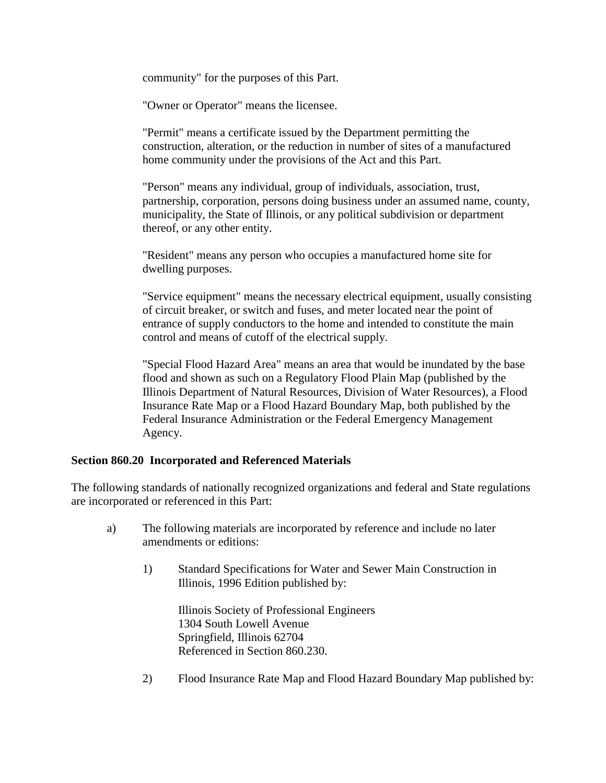community" for the purposes of this Part.

"Owner or Operator" means the licensee.

"Permit" means a certificate issued by the Department permitting the construction, alteration, or the reduction in number of sites of a manufactured home community under the provisions of the Act and this Part.

"Person" means any individual, group of individuals, association, trust, partnership, corporation, persons doing business under an assumed name, county, municipality, the State of Illinois, or any political subdivision or department thereof, or any other entity.

"Resident" means any person who occupies a manufactured home site for dwelling purposes.

"Service equipment" means the necessary electrical equipment, usually consisting of circuit breaker, or switch and fuses, and meter located near the point of entrance of supply conductors to the home and intended to constitute the main control and means of cutoff of the electrical supply.

"Special Flood Hazard Area" means an area that would be inundated by the base flood and shown as such on a Regulatory Flood Plain Map (published by the Illinois Department of Natural Resources, Division of Water Resources), a Flood Insurance Rate Map or a Flood Hazard Boundary Map, both published by the Federal Insurance Administration or the Federal Emergency Management Agency.

#### **Section 860.20 Incorporated and Referenced Materials**

The following standards of nationally recognized organizations and federal and State regulations are incorporated or referenced in this Part:

- a) The following materials are incorporated by reference and include no later amendments or editions:
	- 1) Standard Specifications for Water and Sewer Main Construction in Illinois, 1996 Edition published by:

Illinois Society of Professional Engineers 1304 South Lowell Avenue Springfield, Illinois 62704 Referenced in Section 860.230.

2) Flood Insurance Rate Map and Flood Hazard Boundary Map published by: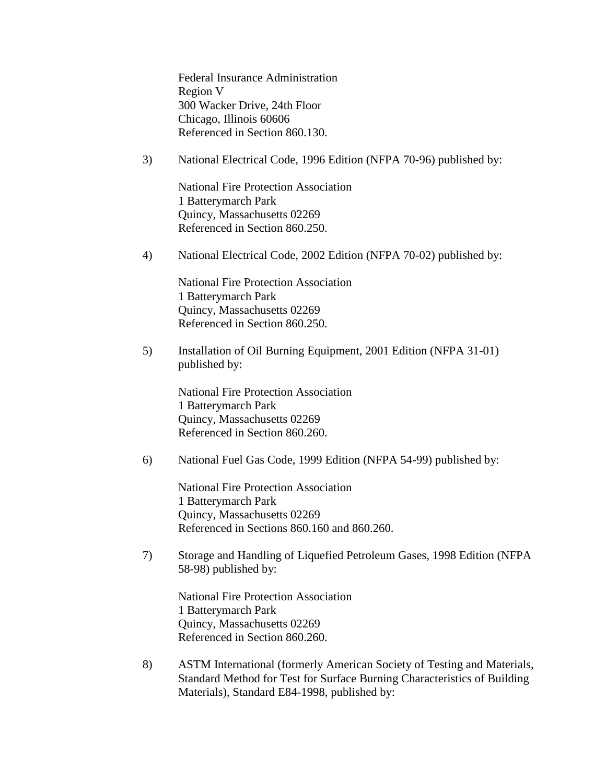Federal Insurance Administration Region V 300 Wacker Drive, 24th Floor Chicago, Illinois 60606 Referenced in Section 860.130.

3) National Electrical Code, 1996 Edition (NFPA 70-96) published by:

National Fire Protection Association 1 Batterymarch Park Quincy, Massachusetts 02269 Referenced in Section 860.250.

4) National Electrical Code, 2002 Edition (NFPA 70-02) published by:

National Fire Protection Association 1 Batterymarch Park Quincy, Massachusetts 02269 Referenced in Section 860.250.

5) Installation of Oil Burning Equipment, 2001 Edition (NFPA 31-01) published by:

National Fire Protection Association 1 Batterymarch Park Quincy, Massachusetts 02269 Referenced in Section 860.260.

6) National Fuel Gas Code, 1999 Edition (NFPA 54-99) published by:

National Fire Protection Association 1 Batterymarch Park Quincy, Massachusetts 02269 Referenced in Sections 860.160 and 860.260.

7) Storage and Handling of Liquefied Petroleum Gases, 1998 Edition (NFPA 58-98) published by:

National Fire Protection Association 1 Batterymarch Park Quincy, Massachusetts 02269 Referenced in Section 860.260.

8) ASTM International (formerly American Society of Testing and Materials, Standard Method for Test for Surface Burning Characteristics of Building Materials), Standard E84-1998, published by: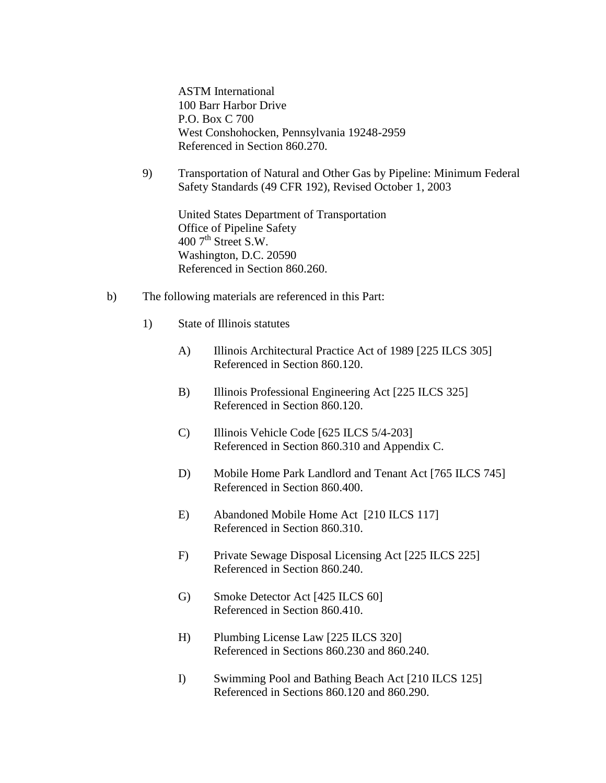ASTM International 100 Barr Harbor Drive P.O. Box C 700 West Conshohocken, Pennsylvania 19248-2959 Referenced in Section 860.270.

9) Transportation of Natural and Other Gas by Pipeline: Minimum Federal Safety Standards (49 CFR 192), Revised October 1, 2003

United States Department of Transportation Office of Pipeline Safety  $400$  7<sup>th</sup> Street S.W. Washington, D.C. 20590 Referenced in Section 860.260.

- b) The following materials are referenced in this Part:
	- 1) State of Illinois statutes
		- A) Illinois Architectural Practice Act of 1989 [225 ILCS 305] Referenced in Section 860.120.
		- B) Illinois Professional Engineering Act [225 ILCS 325] Referenced in Section 860.120.
		- C) Illinois Vehicle Code [625 ILCS 5/4-203] Referenced in Section 860.310 and Appendix C.
		- D) Mobile Home Park Landlord and Tenant Act [765 ILCS 745] Referenced in Section 860.400.
		- E) Abandoned Mobile Home Act [210 ILCS 117] Referenced in Section 860.310.
		- F) Private Sewage Disposal Licensing Act [225 ILCS 225] Referenced in Section 860.240.
		- G) Smoke Detector Act [425 ILCS 60] Referenced in Section 860.410.
		- H) Plumbing License Law [225 ILCS 320] Referenced in Sections 860.230 and 860.240.
		- I) Swimming Pool and Bathing Beach Act [210 ILCS 125] Referenced in Sections 860.120 and 860.290.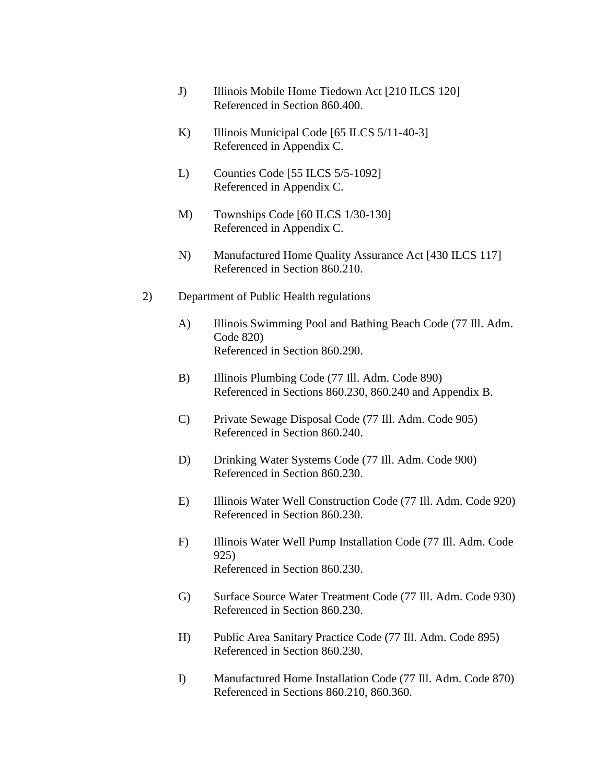- J) Illinois Mobile Home Tiedown Act [210 ILCS 120] Referenced in Section 860.400.
- K) Illinois Municipal Code [65 ILCS 5/11-40-3] Referenced in Appendix C.
- L) Counties Code [55 ILCS 5/5-1092] Referenced in Appendix C.
- M) Townships Code [60 ILCS 1/30-130] Referenced in Appendix C.
- N) Manufactured Home Quality Assurance Act [430 ILCS 117] Referenced in Section 860.210.
- 2) Department of Public Health regulations
	- A) Illinois Swimming Pool and Bathing Beach Code (77 Ill. Adm. Code 820) Referenced in Section 860.290.
	- B) Illinois Plumbing Code (77 Ill. Adm. Code 890) Referenced in Sections 860.230, 860.240 and Appendix B.
	- C) Private Sewage Disposal Code (77 Ill. Adm. Code 905) Referenced in Section 860.240.
	- D) Drinking Water Systems Code (77 Ill. Adm. Code 900) Referenced in Section 860.230.
	- E) Illinois Water Well Construction Code (77 Ill. Adm. Code 920) Referenced in Section 860.230.
	- F) Illinois Water Well Pump Installation Code (77 Ill. Adm. Code 925) Referenced in Section 860.230.
	- G) Surface Source Water Treatment Code (77 Ill. Adm. Code 930) Referenced in Section 860.230.
	- H) Public Area Sanitary Practice Code (77 Ill. Adm. Code 895) Referenced in Section 860.230.
	- I) Manufactured Home Installation Code (77 Ill. Adm. Code 870) Referenced in Sections 860.210, 860.360.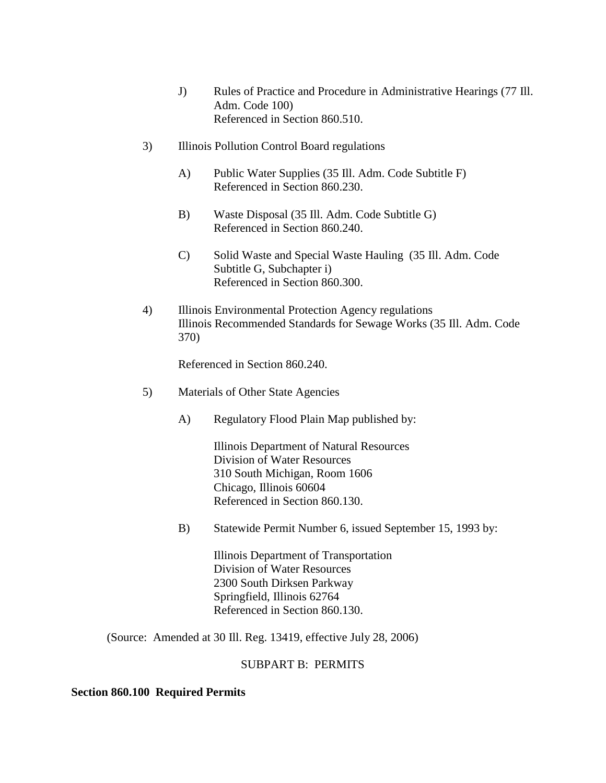- J) Rules of Practice and Procedure in Administrative Hearings (77 Ill. Adm. Code 100) Referenced in Section 860.510.
- 3) Illinois Pollution Control Board regulations
	- A) Public Water Supplies (35 Ill. Adm. Code Subtitle F) Referenced in Section 860.230.
	- B) Waste Disposal (35 Ill. Adm. Code Subtitle G) Referenced in Section 860.240.
	- C) Solid Waste and Special Waste Hauling (35 Ill. Adm. Code Subtitle G, Subchapter i) Referenced in Section 860.300.
- 4) Illinois Environmental Protection Agency regulations Illinois Recommended Standards for Sewage Works (35 Ill. Adm. Code 370)

Referenced in Section 860.240.

- 5) Materials of Other State Agencies
	- A) Regulatory Flood Plain Map published by:

Illinois Department of Natural Resources Division of Water Resources 310 South Michigan, Room 1606 Chicago, Illinois 60604 Referenced in Section 860.130.

B) Statewide Permit Number 6, issued September 15, 1993 by:

Illinois Department of Transportation Division of Water Resources 2300 South Dirksen Parkway Springfield, Illinois 62764 Referenced in Section 860.130.

(Source: Amended at 30 Ill. Reg. 13419, effective July 28, 2006)

#### SUBPART B: PERMITS

#### **Section 860.100 Required Permits**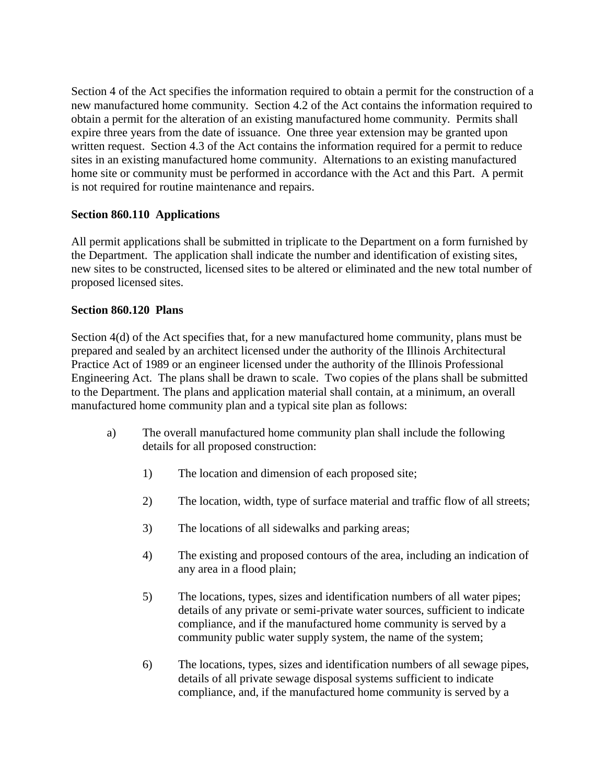Section 4 of the Act specifies the information required to obtain a permit for the construction of a new manufactured home community. Section 4.2 of the Act contains the information required to obtain a permit for the alteration of an existing manufactured home community. Permits shall expire three years from the date of issuance. One three year extension may be granted upon written request. Section 4.3 of the Act contains the information required for a permit to reduce sites in an existing manufactured home community. Alternations to an existing manufactured home site or community must be performed in accordance with the Act and this Part. A permit is not required for routine maintenance and repairs.

## **Section 860.110 Applications**

All permit applications shall be submitted in triplicate to the Department on a form furnished by the Department. The application shall indicate the number and identification of existing sites, new sites to be constructed, licensed sites to be altered or eliminated and the new total number of proposed licensed sites.

## **Section 860.120 Plans**

Section 4(d) of the Act specifies that, for a new manufactured home community, plans must be prepared and sealed by an architect licensed under the authority of the Illinois Architectural Practice Act of 1989 or an engineer licensed under the authority of the Illinois Professional Engineering Act. The plans shall be drawn to scale. Two copies of the plans shall be submitted to the Department. The plans and application material shall contain, at a minimum, an overall manufactured home community plan and a typical site plan as follows:

- a) The overall manufactured home community plan shall include the following details for all proposed construction:
	- 1) The location and dimension of each proposed site;
	- 2) The location, width, type of surface material and traffic flow of all streets;
	- 3) The locations of all sidewalks and parking areas;
	- 4) The existing and proposed contours of the area, including an indication of any area in a flood plain;
	- 5) The locations, types, sizes and identification numbers of all water pipes; details of any private or semi-private water sources, sufficient to indicate compliance, and if the manufactured home community is served by a community public water supply system, the name of the system;
	- 6) The locations, types, sizes and identification numbers of all sewage pipes, details of all private sewage disposal systems sufficient to indicate compliance, and, if the manufactured home community is served by a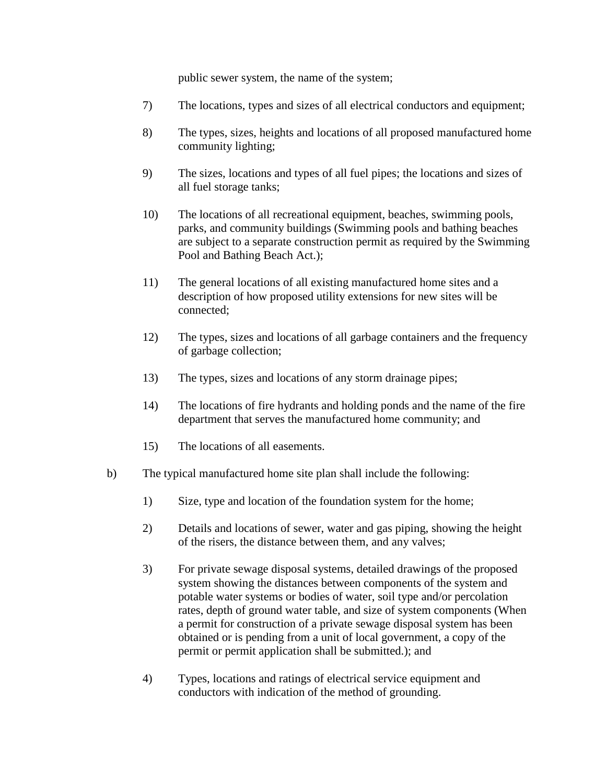public sewer system, the name of the system;

- 7) The locations, types and sizes of all electrical conductors and equipment;
- 8) The types, sizes, heights and locations of all proposed manufactured home community lighting;
- 9) The sizes, locations and types of all fuel pipes; the locations and sizes of all fuel storage tanks;
- 10) The locations of all recreational equipment, beaches, swimming pools, parks, and community buildings (Swimming pools and bathing beaches are subject to a separate construction permit as required by the Swimming Pool and Bathing Beach Act.);
- 11) The general locations of all existing manufactured home sites and a description of how proposed utility extensions for new sites will be connected;
- 12) The types, sizes and locations of all garbage containers and the frequency of garbage collection;
- 13) The types, sizes and locations of any storm drainage pipes;
- 14) The locations of fire hydrants and holding ponds and the name of the fire department that serves the manufactured home community; and
- 15) The locations of all easements.
- b) The typical manufactured home site plan shall include the following:
	- 1) Size, type and location of the foundation system for the home;
	- 2) Details and locations of sewer, water and gas piping, showing the height of the risers, the distance between them, and any valves;
	- 3) For private sewage disposal systems, detailed drawings of the proposed system showing the distances between components of the system and potable water systems or bodies of water, soil type and/or percolation rates, depth of ground water table, and size of system components (When a permit for construction of a private sewage disposal system has been obtained or is pending from a unit of local government, a copy of the permit or permit application shall be submitted.); and
	- 4) Types, locations and ratings of electrical service equipment and conductors with indication of the method of grounding.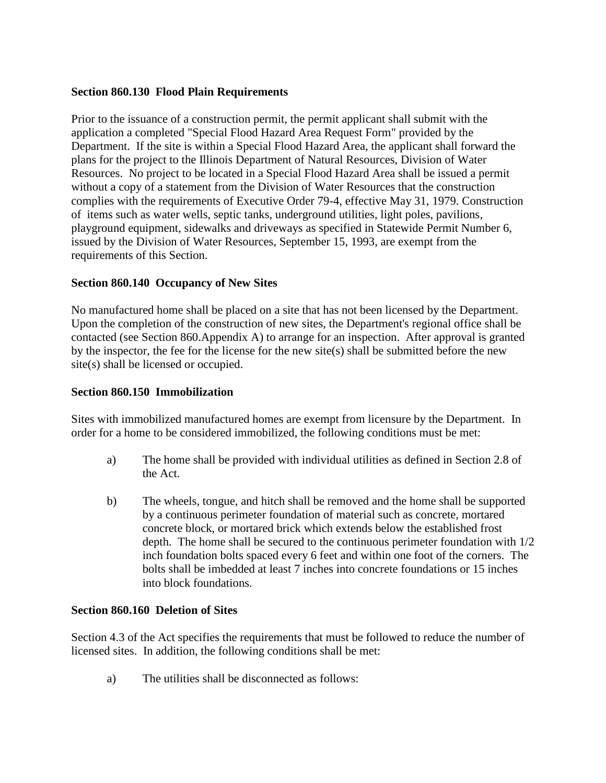#### **Section 860.130 Flood Plain Requirements**

Prior to the issuance of a construction permit, the permit applicant shall submit with the application a completed "Special Flood Hazard Area Request Form" provided by the Department. If the site is within a Special Flood Hazard Area, the applicant shall forward the plans for the project to the Illinois Department of Natural Resources, Division of Water Resources. No project to be located in a Special Flood Hazard Area shall be issued a permit without a copy of a statement from the Division of Water Resources that the construction complies with the requirements of Executive Order 79-4, effective May 31, 1979. Construction of items such as water wells, septic tanks, underground utilities, light poles, pavilions, playground equipment, sidewalks and driveways as specified in Statewide Permit Number 6, issued by the Division of Water Resources, September 15, 1993, are exempt from the requirements of this Section.

### **Section 860.140 Occupancy of New Sites**

No manufactured home shall be placed on a site that has not been licensed by the Department. Upon the completion of the construction of new sites, the Department's regional office shall be contacted (see Section 860.Appendix A) to arrange for an inspection. After approval is granted by the inspector, the fee for the license for the new site(s) shall be submitted before the new site(s) shall be licensed or occupied.

#### **Section 860.150 Immobilization**

Sites with immobilized manufactured homes are exempt from licensure by the Department. In order for a home to be considered immobilized, the following conditions must be met:

- a) The home shall be provided with individual utilities as defined in Section 2.8 of the Act.
- b) The wheels, tongue, and hitch shall be removed and the home shall be supported by a continuous perimeter foundation of material such as concrete, mortared concrete block, or mortared brick which extends below the established frost depth. The home shall be secured to the continuous perimeter foundation with 1/2 inch foundation bolts spaced every 6 feet and within one foot of the corners. The bolts shall be imbedded at least 7 inches into concrete foundations or 15 inches into block foundations.

#### **Section 860.160 Deletion of Sites**

Section 4.3 of the Act specifies the requirements that must be followed to reduce the number of licensed sites. In addition, the following conditions shall be met:

a) The utilities shall be disconnected as follows: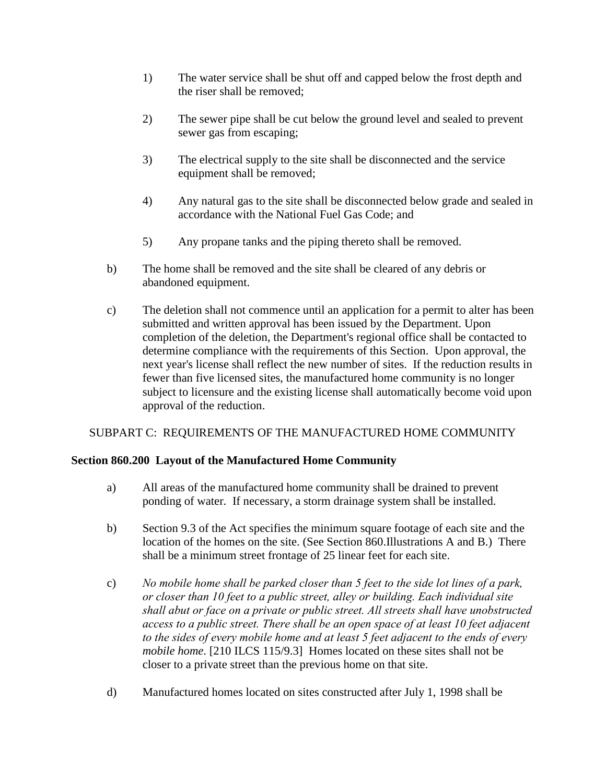- 1) The water service shall be shut off and capped below the frost depth and the riser shall be removed;
- 2) The sewer pipe shall be cut below the ground level and sealed to prevent sewer gas from escaping;
- 3) The electrical supply to the site shall be disconnected and the service equipment shall be removed;
- 4) Any natural gas to the site shall be disconnected below grade and sealed in accordance with the National Fuel Gas Code; and
- 5) Any propane tanks and the piping thereto shall be removed.
- b) The home shall be removed and the site shall be cleared of any debris or abandoned equipment.
- c) The deletion shall not commence until an application for a permit to alter has been submitted and written approval has been issued by the Department. Upon completion of the deletion, the Department's regional office shall be contacted to determine compliance with the requirements of this Section. Upon approval, the next year's license shall reflect the new number of sites. If the reduction results in fewer than five licensed sites, the manufactured home community is no longer subject to licensure and the existing license shall automatically become void upon approval of the reduction.

## SUBPART C: REQUIREMENTS OF THE MANUFACTURED HOME COMMUNITY

## **Section 860.200 Layout of the Manufactured Home Community**

- a) All areas of the manufactured home community shall be drained to prevent ponding of water. If necessary, a storm drainage system shall be installed.
- b) Section 9.3 of the Act specifies the minimum square footage of each site and the location of the homes on the site. (See Section 860.Illustrations A and B.) There shall be a minimum street frontage of 25 linear feet for each site.
- c) *No mobile home shall be parked closer than 5 feet to the side lot lines of a park, or closer than 10 feet to a public street, alley or building. Each individual site shall abut or face on a private or public street. All streets shall have unobstructed access to a public street. There shall be an open space of at least 10 feet adjacent to the sides of every mobile home and at least 5 feet adjacent to the ends of every mobile home*. [210 ILCS 115/9.3] Homes located on these sites shall not be closer to a private street than the previous home on that site.
- d) Manufactured homes located on sites constructed after July 1, 1998 shall be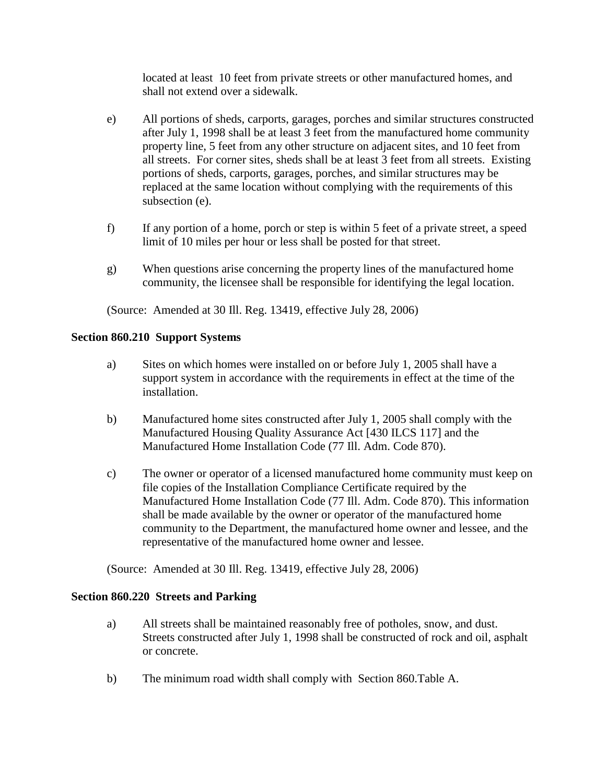located at least 10 feet from private streets or other manufactured homes, and shall not extend over a sidewalk.

- e) All portions of sheds, carports, garages, porches and similar structures constructed after July 1, 1998 shall be at least 3 feet from the manufactured home community property line, 5 feet from any other structure on adjacent sites, and 10 feet from all streets. For corner sites, sheds shall be at least 3 feet from all streets. Existing portions of sheds, carports, garages, porches, and similar structures may be replaced at the same location without complying with the requirements of this subsection (e).
- f) If any portion of a home, porch or step is within 5 feet of a private street, a speed limit of 10 miles per hour or less shall be posted for that street.
- g) When questions arise concerning the property lines of the manufactured home community, the licensee shall be responsible for identifying the legal location.

(Source: Amended at 30 Ill. Reg. 13419, effective July 28, 2006)

#### **Section 860.210 Support Systems**

- a) Sites on which homes were installed on or before July 1, 2005 shall have a support system in accordance with the requirements in effect at the time of the installation.
- b) Manufactured home sites constructed after July 1, 2005 shall comply with the Manufactured Housing Quality Assurance Act [430 ILCS 117] and the Manufactured Home Installation Code (77 Ill. Adm. Code 870).
- c) The owner or operator of a licensed manufactured home community must keep on file copies of the Installation Compliance Certificate required by the Manufactured Home Installation Code (77 Ill. Adm. Code 870). This information shall be made available by the owner or operator of the manufactured home community to the Department, the manufactured home owner and lessee, and the representative of the manufactured home owner and lessee.

(Source: Amended at 30 Ill. Reg. 13419, effective July 28, 2006)

#### **Section 860.220 Streets and Parking**

- a) All streets shall be maintained reasonably free of potholes, snow, and dust. Streets constructed after July 1, 1998 shall be constructed of rock and oil, asphalt or concrete.
- b) The minimum road width shall comply with Section 860.Table A.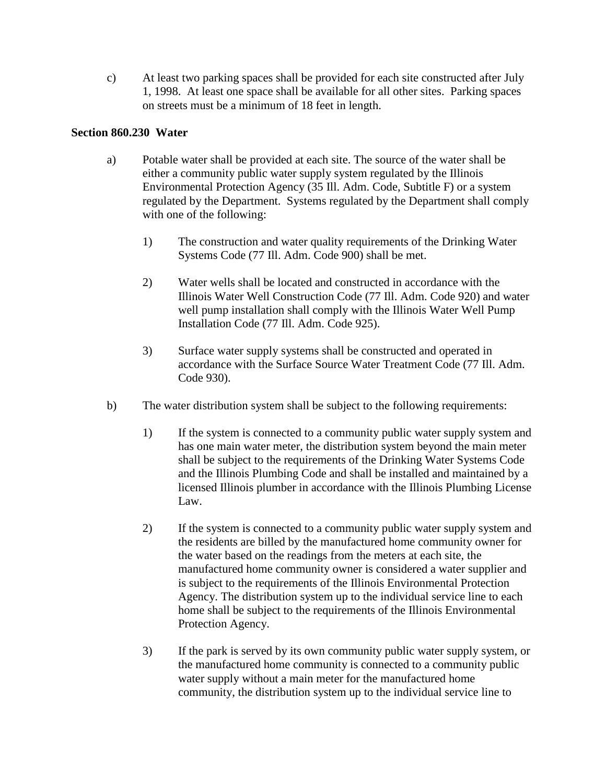c) At least two parking spaces shall be provided for each site constructed after July 1, 1998. At least one space shall be available for all other sites. Parking spaces on streets must be a minimum of 18 feet in length.

### **Section 860.230 Water**

- a) Potable water shall be provided at each site. The source of the water shall be either a community public water supply system regulated by the Illinois Environmental Protection Agency (35 Ill. Adm. Code, Subtitle F) or a system regulated by the Department. Systems regulated by the Department shall comply with one of the following:
	- 1) The construction and water quality requirements of the Drinking Water Systems Code (77 Ill. Adm. Code 900) shall be met.
	- 2) Water wells shall be located and constructed in accordance with the Illinois Water Well Construction Code (77 Ill. Adm. Code 920) and water well pump installation shall comply with the Illinois Water Well Pump Installation Code (77 Ill. Adm. Code 925).
	- 3) Surface water supply systems shall be constructed and operated in accordance with the Surface Source Water Treatment Code (77 Ill. Adm. Code 930).
- b) The water distribution system shall be subject to the following requirements:
	- 1) If the system is connected to a community public water supply system and has one main water meter, the distribution system beyond the main meter shall be subject to the requirements of the Drinking Water Systems Code and the Illinois Plumbing Code and shall be installed and maintained by a licensed Illinois plumber in accordance with the Illinois Plumbing License Law.
	- 2) If the system is connected to a community public water supply system and the residents are billed by the manufactured home community owner for the water based on the readings from the meters at each site, the manufactured home community owner is considered a water supplier and is subject to the requirements of the Illinois Environmental Protection Agency. The distribution system up to the individual service line to each home shall be subject to the requirements of the Illinois Environmental Protection Agency.
	- 3) If the park is served by its own community public water supply system, or the manufactured home community is connected to a community public water supply without a main meter for the manufactured home community, the distribution system up to the individual service line to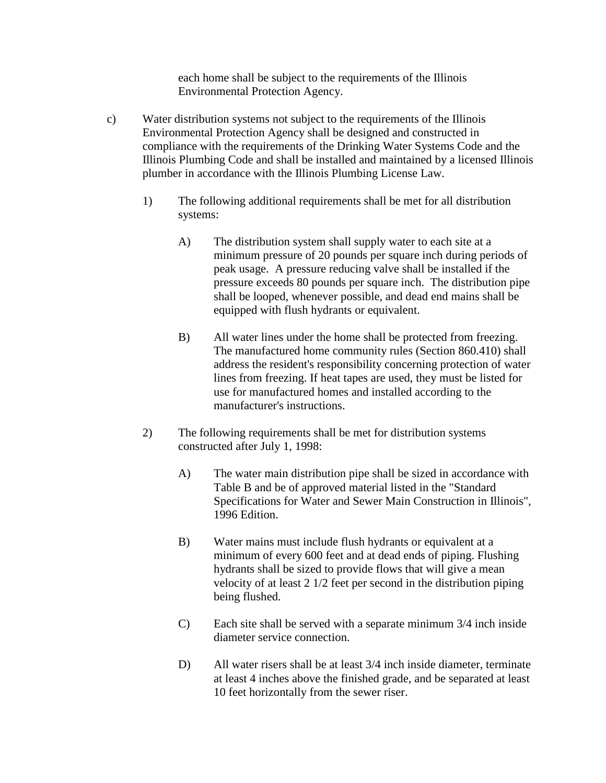each home shall be subject to the requirements of the Illinois Environmental Protection Agency.

- c) Water distribution systems not subject to the requirements of the Illinois Environmental Protection Agency shall be designed and constructed in compliance with the requirements of the Drinking Water Systems Code and the Illinois Plumbing Code and shall be installed and maintained by a licensed Illinois plumber in accordance with the Illinois Plumbing License Law.
	- 1) The following additional requirements shall be met for all distribution systems:
		- A) The distribution system shall supply water to each site at a minimum pressure of 20 pounds per square inch during periods of peak usage. A pressure reducing valve shall be installed if the pressure exceeds 80 pounds per square inch. The distribution pipe shall be looped, whenever possible, and dead end mains shall be equipped with flush hydrants or equivalent.
		- B) All water lines under the home shall be protected from freezing. The manufactured home community rules (Section 860.410) shall address the resident's responsibility concerning protection of water lines from freezing. If heat tapes are used, they must be listed for use for manufactured homes and installed according to the manufacturer's instructions.
	- 2) The following requirements shall be met for distribution systems constructed after July 1, 1998:
		- A) The water main distribution pipe shall be sized in accordance with Table B and be of approved material listed in the "Standard Specifications for Water and Sewer Main Construction in Illinois", 1996 Edition.
		- B) Water mains must include flush hydrants or equivalent at a minimum of every 600 feet and at dead ends of piping. Flushing hydrants shall be sized to provide flows that will give a mean velocity of at least 2 1/2 feet per second in the distribution piping being flushed.
		- C) Each site shall be served with a separate minimum 3/4 inch inside diameter service connection.
		- D) All water risers shall be at least 3/4 inch inside diameter, terminate at least 4 inches above the finished grade, and be separated at least 10 feet horizontally from the sewer riser.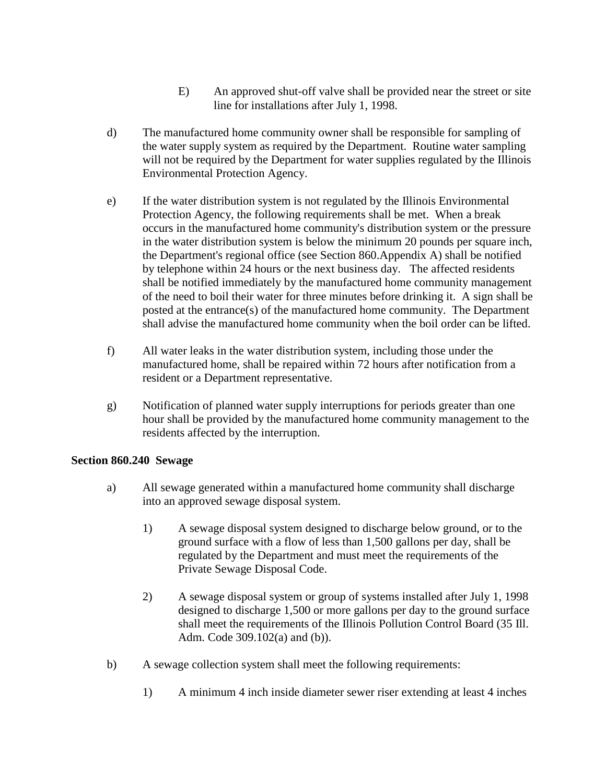- E) An approved shut-off valve shall be provided near the street or site line for installations after July 1, 1998.
- d) The manufactured home community owner shall be responsible for sampling of the water supply system as required by the Department. Routine water sampling will not be required by the Department for water supplies regulated by the Illinois Environmental Protection Agency.
- e) If the water distribution system is not regulated by the Illinois Environmental Protection Agency, the following requirements shall be met. When a break occurs in the manufactured home community's distribution system or the pressure in the water distribution system is below the minimum 20 pounds per square inch, the Department's regional office (see Section 860.Appendix A) shall be notified by telephone within 24 hours or the next business day. The affected residents shall be notified immediately by the manufactured home community management of the need to boil their water for three minutes before drinking it. A sign shall be posted at the entrance(s) of the manufactured home community. The Department shall advise the manufactured home community when the boil order can be lifted.
- f) All water leaks in the water distribution system, including those under the manufactured home, shall be repaired within 72 hours after notification from a resident or a Department representative.
- g) Notification of planned water supply interruptions for periods greater than one hour shall be provided by the manufactured home community management to the residents affected by the interruption.

#### **Section 860.240 Sewage**

- a) All sewage generated within a manufactured home community shall discharge into an approved sewage disposal system.
	- 1) A sewage disposal system designed to discharge below ground, or to the ground surface with a flow of less than 1,500 gallons per day, shall be regulated by the Department and must meet the requirements of the Private Sewage Disposal Code.
	- 2) A sewage disposal system or group of systems installed after July 1, 1998 designed to discharge 1,500 or more gallons per day to the ground surface shall meet the requirements of the Illinois Pollution Control Board (35 Ill. Adm. Code 309.102(a) and (b)).
- b) A sewage collection system shall meet the following requirements:
	- 1) A minimum 4 inch inside diameter sewer riser extending at least 4 inches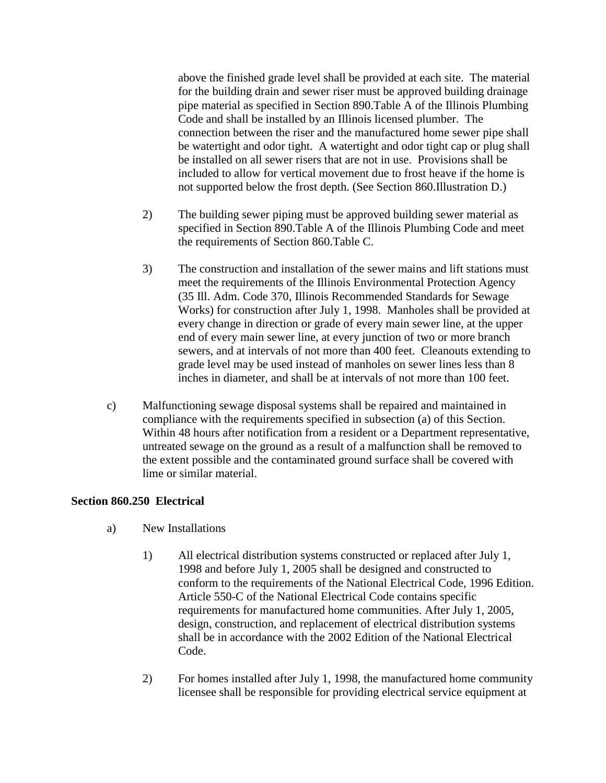above the finished grade level shall be provided at each site. The material for the building drain and sewer riser must be approved building drainage pipe material as specified in Section 890.Table A of the Illinois Plumbing Code and shall be installed by an Illinois licensed plumber. The connection between the riser and the manufactured home sewer pipe shall be watertight and odor tight. A watertight and odor tight cap or plug shall be installed on all sewer risers that are not in use. Provisions shall be included to allow for vertical movement due to frost heave if the home is not supported below the frost depth. (See Section 860.Illustration D.)

- 2) The building sewer piping must be approved building sewer material as specified in Section 890.Table A of the Illinois Plumbing Code and meet the requirements of Section 860.Table C.
- 3) The construction and installation of the sewer mains and lift stations must meet the requirements of the Illinois Environmental Protection Agency (35 Ill. Adm. Code 370, Illinois Recommended Standards for Sewage Works) for construction after July 1, 1998. Manholes shall be provided at every change in direction or grade of every main sewer line, at the upper end of every main sewer line, at every junction of two or more branch sewers, and at intervals of not more than 400 feet. Cleanouts extending to grade level may be used instead of manholes on sewer lines less than 8 inches in diameter, and shall be at intervals of not more than 100 feet.
- c) Malfunctioning sewage disposal systems shall be repaired and maintained in compliance with the requirements specified in subsection (a) of this Section. Within 48 hours after notification from a resident or a Department representative, untreated sewage on the ground as a result of a malfunction shall be removed to the extent possible and the contaminated ground surface shall be covered with lime or similar material.

## **Section 860.250 Electrical**

- a) New Installations
	- 1) All electrical distribution systems constructed or replaced after July 1, 1998 and before July 1, 2005 shall be designed and constructed to conform to the requirements of the National Electrical Code, 1996 Edition. Article 550-C of the National Electrical Code contains specific requirements for manufactured home communities. After July 1, 2005, design, construction, and replacement of electrical distribution systems shall be in accordance with the 2002 Edition of the National Electrical Code.
	- 2) For homes installed after July 1, 1998, the manufactured home community licensee shall be responsible for providing electrical service equipment at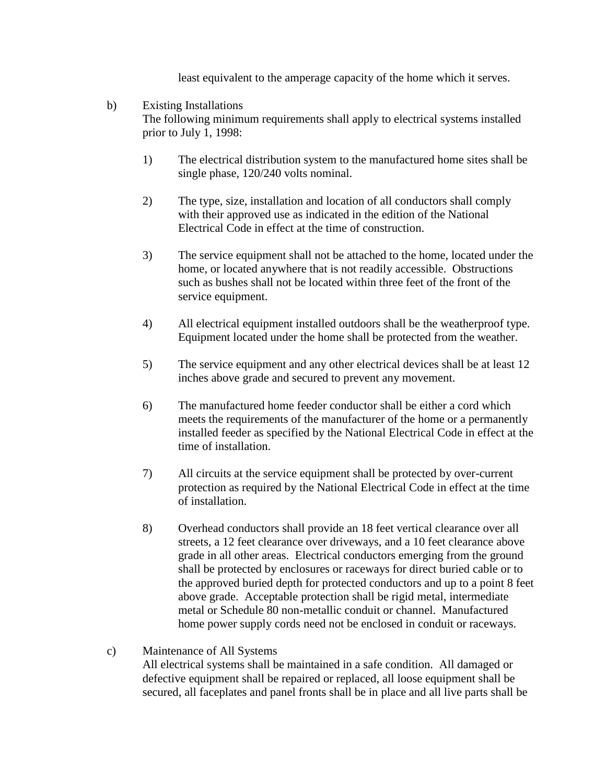least equivalent to the amperage capacity of the home which it serves.

## b) Existing Installations The following minimum requirements shall apply to electrical systems installed prior to July 1, 1998:

- 1) The electrical distribution system to the manufactured home sites shall be single phase, 120/240 volts nominal.
- 2) The type, size, installation and location of all conductors shall comply with their approved use as indicated in the edition of the National Electrical Code in effect at the time of construction.
- 3) The service equipment shall not be attached to the home, located under the home, or located anywhere that is not readily accessible. Obstructions such as bushes shall not be located within three feet of the front of the service equipment.
- 4) All electrical equipment installed outdoors shall be the weatherproof type. Equipment located under the home shall be protected from the weather.
- 5) The service equipment and any other electrical devices shall be at least 12 inches above grade and secured to prevent any movement.
- 6) The manufactured home feeder conductor shall be either a cord which meets the requirements of the manufacturer of the home or a permanently installed feeder as specified by the National Electrical Code in effect at the time of installation.
- 7) All circuits at the service equipment shall be protected by over-current protection as required by the National Electrical Code in effect at the time of installation.
- 8) Overhead conductors shall provide an 18 feet vertical clearance over all streets, a 12 feet clearance over driveways, and a 10 feet clearance above grade in all other areas. Electrical conductors emerging from the ground shall be protected by enclosures or raceways for direct buried cable or to the approved buried depth for protected conductors and up to a point 8 feet above grade. Acceptable protection shall be rigid metal, intermediate metal or Schedule 80 non-metallic conduit or channel. Manufactured home power supply cords need not be enclosed in conduit or raceways.

## c) Maintenance of All Systems All electrical systems shall be maintained in a safe condition. All damaged or defective equipment shall be repaired or replaced, all loose equipment shall be secured, all faceplates and panel fronts shall be in place and all live parts shall be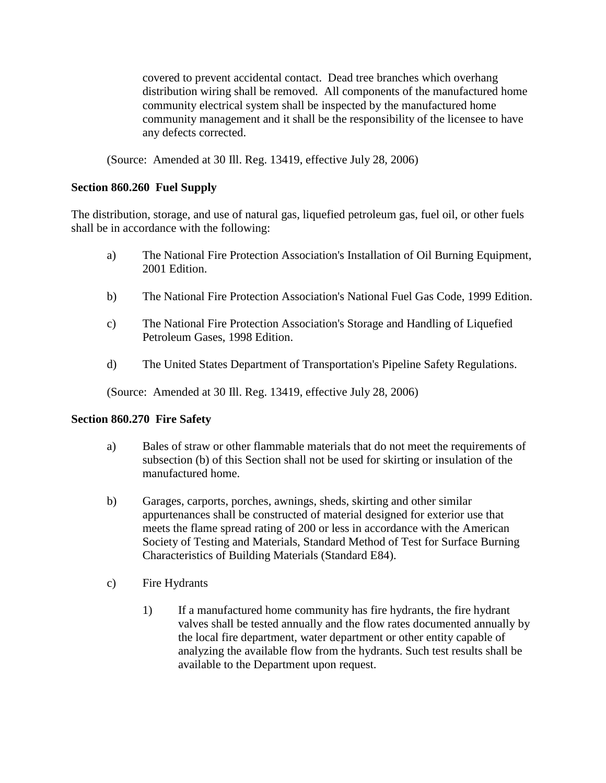covered to prevent accidental contact. Dead tree branches which overhang distribution wiring shall be removed. All components of the manufactured home community electrical system shall be inspected by the manufactured home community management and it shall be the responsibility of the licensee to have any defects corrected.

(Source: Amended at 30 Ill. Reg. 13419, effective July 28, 2006)

## **Section 860.260 Fuel Supply**

The distribution, storage, and use of natural gas, liquefied petroleum gas, fuel oil, or other fuels shall be in accordance with the following:

- a) The National Fire Protection Association's Installation of Oil Burning Equipment, 2001 Edition.
- b) The National Fire Protection Association's National Fuel Gas Code, 1999 Edition.
- c) The National Fire Protection Association's Storage and Handling of Liquefied Petroleum Gases, 1998 Edition.
- d) The United States Department of Transportation's Pipeline Safety Regulations.

(Source: Amended at 30 Ill. Reg. 13419, effective July 28, 2006)

#### **Section 860.270 Fire Safety**

- a) Bales of straw or other flammable materials that do not meet the requirements of subsection (b) of this Section shall not be used for skirting or insulation of the manufactured home.
- b) Garages, carports, porches, awnings, sheds, skirting and other similar appurtenances shall be constructed of material designed for exterior use that meets the flame spread rating of 200 or less in accordance with the American Society of Testing and Materials, Standard Method of Test for Surface Burning Characteristics of Building Materials (Standard E84).
- c) Fire Hydrants
	- 1) If a manufactured home community has fire hydrants, the fire hydrant valves shall be tested annually and the flow rates documented annually by the local fire department, water department or other entity capable of analyzing the available flow from the hydrants. Such test results shall be available to the Department upon request.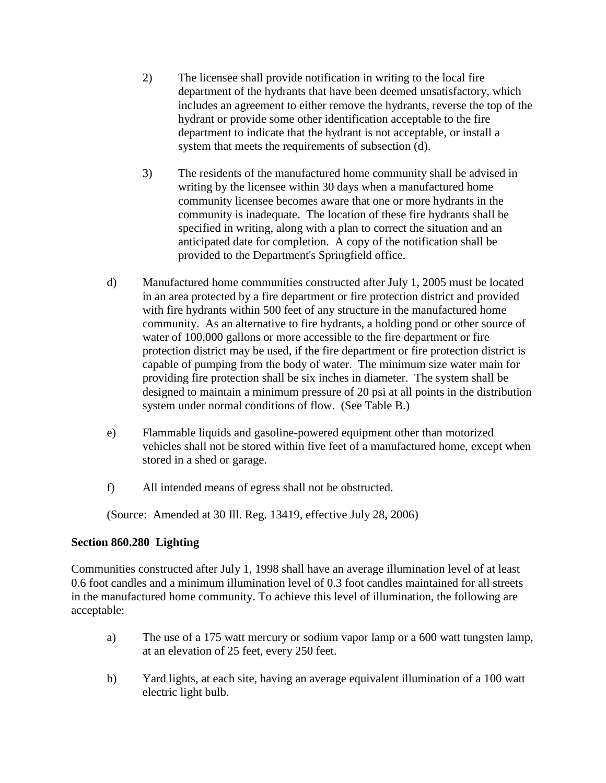- 2) The licensee shall provide notification in writing to the local fire department of the hydrants that have been deemed unsatisfactory, which includes an agreement to either remove the hydrants, reverse the top of the hydrant or provide some other identification acceptable to the fire department to indicate that the hydrant is not acceptable, or install a system that meets the requirements of subsection (d).
- 3) The residents of the manufactured home community shall be advised in writing by the licensee within 30 days when a manufactured home community licensee becomes aware that one or more hydrants in the community is inadequate. The location of these fire hydrants shall be specified in writing, along with a plan to correct the situation and an anticipated date for completion. A copy of the notification shall be provided to the Department's Springfield office.
- d) Manufactured home communities constructed after July 1, 2005 must be located in an area protected by a fire department or fire protection district and provided with fire hydrants within 500 feet of any structure in the manufactured home community. As an alternative to fire hydrants, a holding pond or other source of water of 100,000 gallons or more accessible to the fire department or fire protection district may be used, if the fire department or fire protection district is capable of pumping from the body of water. The minimum size water main for providing fire protection shall be six inches in diameter. The system shall be designed to maintain a minimum pressure of 20 psi at all points in the distribution system under normal conditions of flow. (See Table B.)
- e) Flammable liquids and gasoline-powered equipment other than motorized vehicles shall not be stored within five feet of a manufactured home, except when stored in a shed or garage.
- f) All intended means of egress shall not be obstructed.

(Source: Amended at 30 Ill. Reg. 13419, effective July 28, 2006)

## **Section 860.280 Lighting**

Communities constructed after July 1, 1998 shall have an average illumination level of at least 0.6 foot candles and a minimum illumination level of 0.3 foot candles maintained for all streets in the manufactured home community. To achieve this level of illumination, the following are acceptable:

- a) The use of a 175 watt mercury or sodium vapor lamp or a 600 watt tungsten lamp, at an elevation of 25 feet, every 250 feet.
- b) Yard lights, at each site, having an average equivalent illumination of a 100 watt electric light bulb.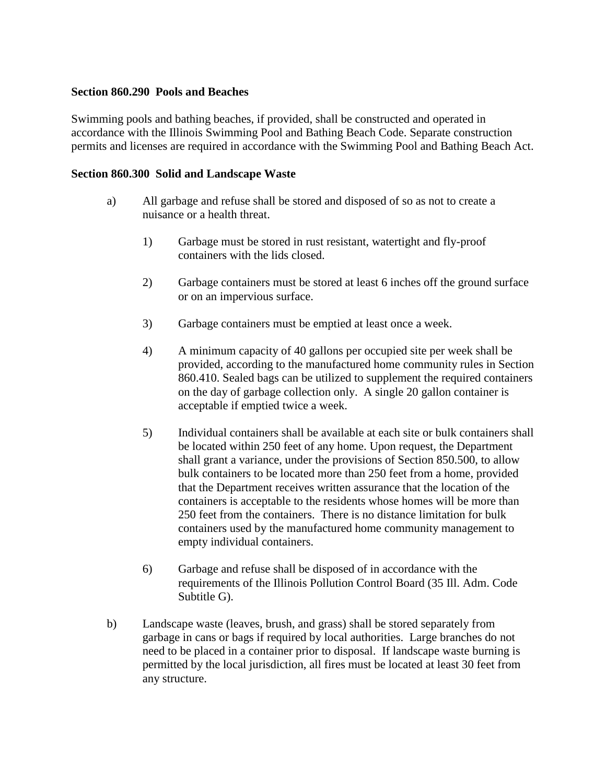#### **Section 860.290 Pools and Beaches**

Swimming pools and bathing beaches, if provided, shall be constructed and operated in accordance with the Illinois Swimming Pool and Bathing Beach Code. Separate construction permits and licenses are required in accordance with the Swimming Pool and Bathing Beach Act.

#### **Section 860.300 Solid and Landscape Waste**

- a) All garbage and refuse shall be stored and disposed of so as not to create a nuisance or a health threat.
	- 1) Garbage must be stored in rust resistant, watertight and fly-proof containers with the lids closed.
	- 2) Garbage containers must be stored at least 6 inches off the ground surface or on an impervious surface.
	- 3) Garbage containers must be emptied at least once a week.
	- 4) A minimum capacity of 40 gallons per occupied site per week shall be provided, according to the manufactured home community rules in Section 860.410. Sealed bags can be utilized to supplement the required containers on the day of garbage collection only. A single 20 gallon container is acceptable if emptied twice a week.
	- 5) Individual containers shall be available at each site or bulk containers shall be located within 250 feet of any home. Upon request, the Department shall grant a variance, under the provisions of Section 850.500, to allow bulk containers to be located more than 250 feet from a home, provided that the Department receives written assurance that the location of the containers is acceptable to the residents whose homes will be more than 250 feet from the containers. There is no distance limitation for bulk containers used by the manufactured home community management to empty individual containers.
	- 6) Garbage and refuse shall be disposed of in accordance with the requirements of the Illinois Pollution Control Board (35 Ill. Adm. Code Subtitle G).
- b) Landscape waste (leaves, brush, and grass) shall be stored separately from garbage in cans or bags if required by local authorities. Large branches do not need to be placed in a container prior to disposal. If landscape waste burning is permitted by the local jurisdiction, all fires must be located at least 30 feet from any structure.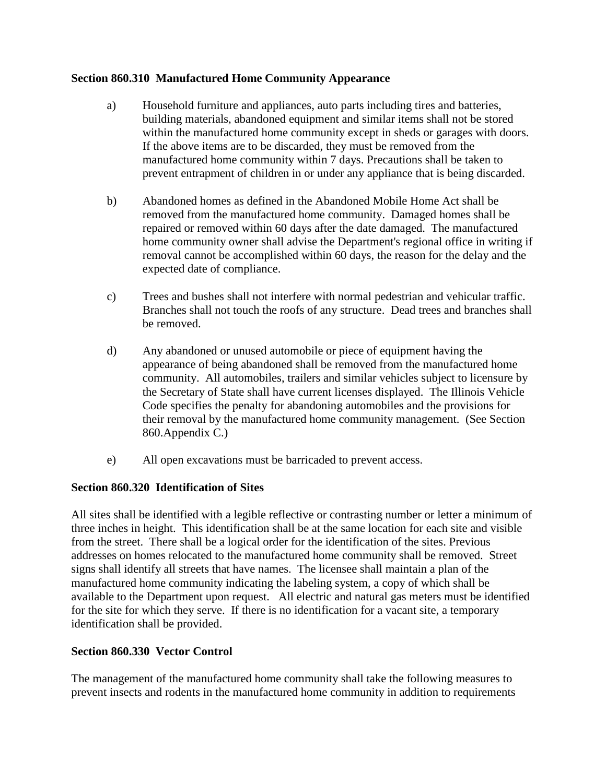### **Section 860.310 Manufactured Home Community Appearance**

- a) Household furniture and appliances, auto parts including tires and batteries, building materials, abandoned equipment and similar items shall not be stored within the manufactured home community except in sheds or garages with doors. If the above items are to be discarded, they must be removed from the manufactured home community within 7 days. Precautions shall be taken to prevent entrapment of children in or under any appliance that is being discarded.
- b) Abandoned homes as defined in the Abandoned Mobile Home Act shall be removed from the manufactured home community. Damaged homes shall be repaired or removed within 60 days after the date damaged. The manufactured home community owner shall advise the Department's regional office in writing if removal cannot be accomplished within 60 days, the reason for the delay and the expected date of compliance.
- c) Trees and bushes shall not interfere with normal pedestrian and vehicular traffic. Branches shall not touch the roofs of any structure. Dead trees and branches shall be removed.
- d) Any abandoned or unused automobile or piece of equipment having the appearance of being abandoned shall be removed from the manufactured home community. All automobiles, trailers and similar vehicles subject to licensure by the Secretary of State shall have current licenses displayed. The Illinois Vehicle Code specifies the penalty for abandoning automobiles and the provisions for their removal by the manufactured home community management. (See Section 860.Appendix C.)
- e) All open excavations must be barricaded to prevent access.

## **Section 860.320 Identification of Sites**

All sites shall be identified with a legible reflective or contrasting number or letter a minimum of three inches in height. This identification shall be at the same location for each site and visible from the street. There shall be a logical order for the identification of the sites. Previous addresses on homes relocated to the manufactured home community shall be removed. Street signs shall identify all streets that have names. The licensee shall maintain a plan of the manufactured home community indicating the labeling system, a copy of which shall be available to the Department upon request. All electric and natural gas meters must be identified for the site for which they serve. If there is no identification for a vacant site, a temporary identification shall be provided.

## **Section 860.330 Vector Control**

The management of the manufactured home community shall take the following measures to prevent insects and rodents in the manufactured home community in addition to requirements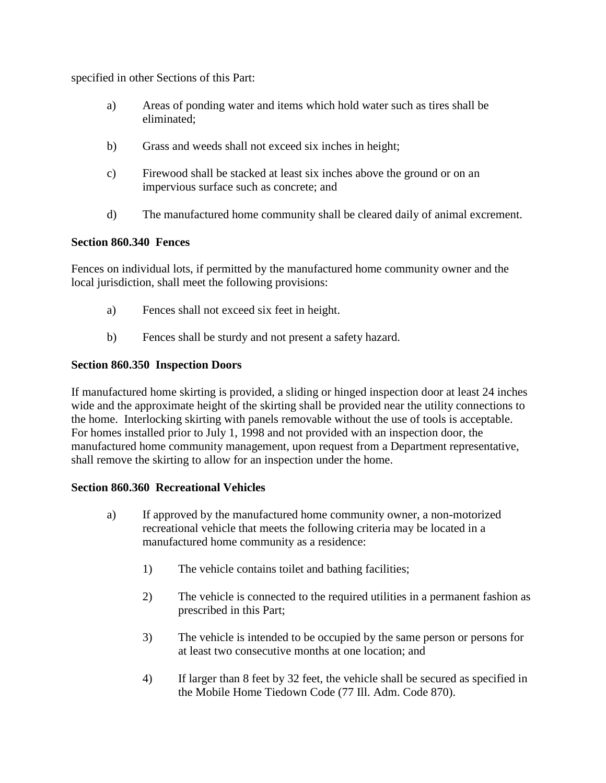specified in other Sections of this Part:

- a) Areas of ponding water and items which hold water such as tires shall be eliminated;
- b) Grass and weeds shall not exceed six inches in height;
- c) Firewood shall be stacked at least six inches above the ground or on an impervious surface such as concrete; and
- d) The manufactured home community shall be cleared daily of animal excrement.

### **Section 860.340 Fences**

Fences on individual lots, if permitted by the manufactured home community owner and the local jurisdiction, shall meet the following provisions:

- a) Fences shall not exceed six feet in height.
- b) Fences shall be sturdy and not present a safety hazard.

## **Section 860.350 Inspection Doors**

If manufactured home skirting is provided, a sliding or hinged inspection door at least 24 inches wide and the approximate height of the skirting shall be provided near the utility connections to the home. Interlocking skirting with panels removable without the use of tools is acceptable. For homes installed prior to July 1, 1998 and not provided with an inspection door, the manufactured home community management, upon request from a Department representative, shall remove the skirting to allow for an inspection under the home.

## **Section 860.360 Recreational Vehicles**

- a) If approved by the manufactured home community owner, a non-motorized recreational vehicle that meets the following criteria may be located in a manufactured home community as a residence:
	- 1) The vehicle contains toilet and bathing facilities;
	- 2) The vehicle is connected to the required utilities in a permanent fashion as prescribed in this Part;
	- 3) The vehicle is intended to be occupied by the same person or persons for at least two consecutive months at one location; and
	- 4) If larger than 8 feet by 32 feet, the vehicle shall be secured as specified in the Mobile Home Tiedown Code (77 Ill. Adm. Code 870).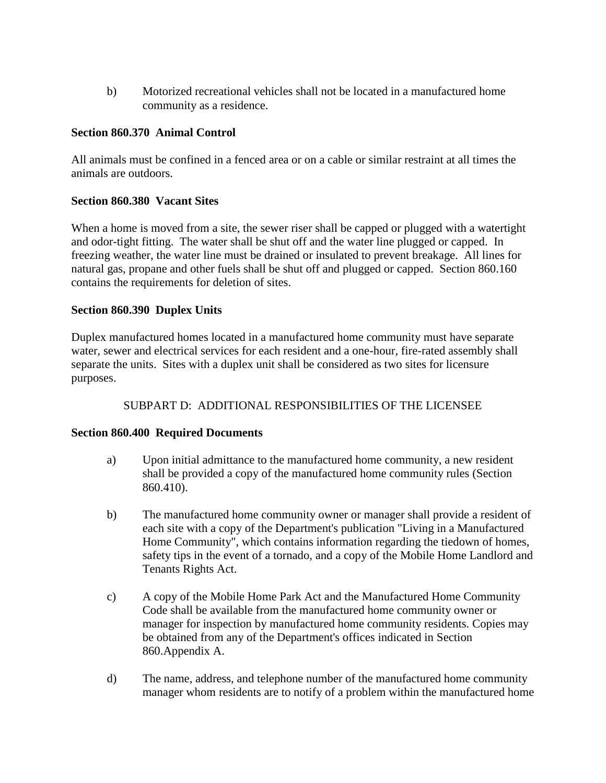b) Motorized recreational vehicles shall not be located in a manufactured home community as a residence.

## **Section 860.370 Animal Control**

All animals must be confined in a fenced area or on a cable or similar restraint at all times the animals are outdoors.

### **Section 860.380 Vacant Sites**

When a home is moved from a site, the sewer riser shall be capped or plugged with a watertight and odor-tight fitting. The water shall be shut off and the water line plugged or capped. In freezing weather, the water line must be drained or insulated to prevent breakage. All lines for natural gas, propane and other fuels shall be shut off and plugged or capped. Section 860.160 contains the requirements for deletion of sites.

#### **Section 860.390 Duplex Units**

Duplex manufactured homes located in a manufactured home community must have separate water, sewer and electrical services for each resident and a one-hour, fire-rated assembly shall separate the units. Sites with a duplex unit shall be considered as two sites for licensure purposes.

## SUBPART D: ADDITIONAL RESPONSIBILITIES OF THE LICENSEE

#### **Section 860.400 Required Documents**

- a) Upon initial admittance to the manufactured home community, a new resident shall be provided a copy of the manufactured home community rules (Section 860.410).
- b) The manufactured home community owner or manager shall provide a resident of each site with a copy of the Department's publication "Living in a Manufactured Home Community", which contains information regarding the tiedown of homes, safety tips in the event of a tornado, and a copy of the Mobile Home Landlord and Tenants Rights Act.
- c) A copy of the Mobile Home Park Act and the Manufactured Home Community Code shall be available from the manufactured home community owner or manager for inspection by manufactured home community residents. Copies may be obtained from any of the Department's offices indicated in Section 860.Appendix A.
- d) The name, address, and telephone number of the manufactured home community manager whom residents are to notify of a problem within the manufactured home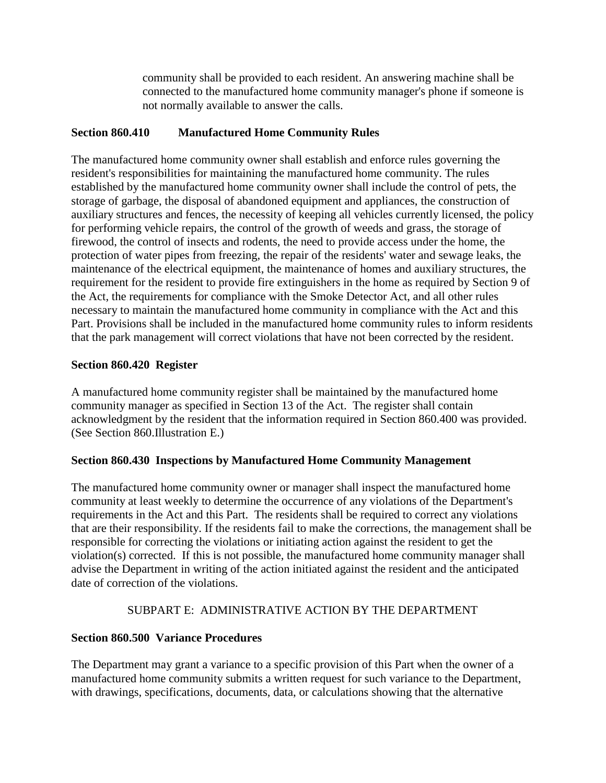community shall be provided to each resident. An answering machine shall be connected to the manufactured home community manager's phone if someone is not normally available to answer the calls.

## **Section 860.410 Manufactured Home Community Rules**

The manufactured home community owner shall establish and enforce rules governing the resident's responsibilities for maintaining the manufactured home community. The rules established by the manufactured home community owner shall include the control of pets, the storage of garbage, the disposal of abandoned equipment and appliances, the construction of auxiliary structures and fences, the necessity of keeping all vehicles currently licensed, the policy for performing vehicle repairs, the control of the growth of weeds and grass, the storage of firewood, the control of insects and rodents, the need to provide access under the home, the protection of water pipes from freezing, the repair of the residents' water and sewage leaks, the maintenance of the electrical equipment, the maintenance of homes and auxiliary structures, the requirement for the resident to provide fire extinguishers in the home as required by Section 9 of the Act, the requirements for compliance with the Smoke Detector Act, and all other rules necessary to maintain the manufactured home community in compliance with the Act and this Part. Provisions shall be included in the manufactured home community rules to inform residents that the park management will correct violations that have not been corrected by the resident.

## **Section 860.420 Register**

A manufactured home community register shall be maintained by the manufactured home community manager as specified in Section 13 of the Act. The register shall contain acknowledgment by the resident that the information required in Section 860.400 was provided. (See Section 860.Illustration E.)

## **Section 860.430 Inspections by Manufactured Home Community Management**

The manufactured home community owner or manager shall inspect the manufactured home community at least weekly to determine the occurrence of any violations of the Department's requirements in the Act and this Part. The residents shall be required to correct any violations that are their responsibility. If the residents fail to make the corrections, the management shall be responsible for correcting the violations or initiating action against the resident to get the violation(s) corrected. If this is not possible, the manufactured home community manager shall advise the Department in writing of the action initiated against the resident and the anticipated date of correction of the violations.

## SUBPART E: ADMINISTRATIVE ACTION BY THE DEPARTMENT

## **Section 860.500 Variance Procedures**

The Department may grant a variance to a specific provision of this Part when the owner of a manufactured home community submits a written request for such variance to the Department, with drawings, specifications, documents, data, or calculations showing that the alternative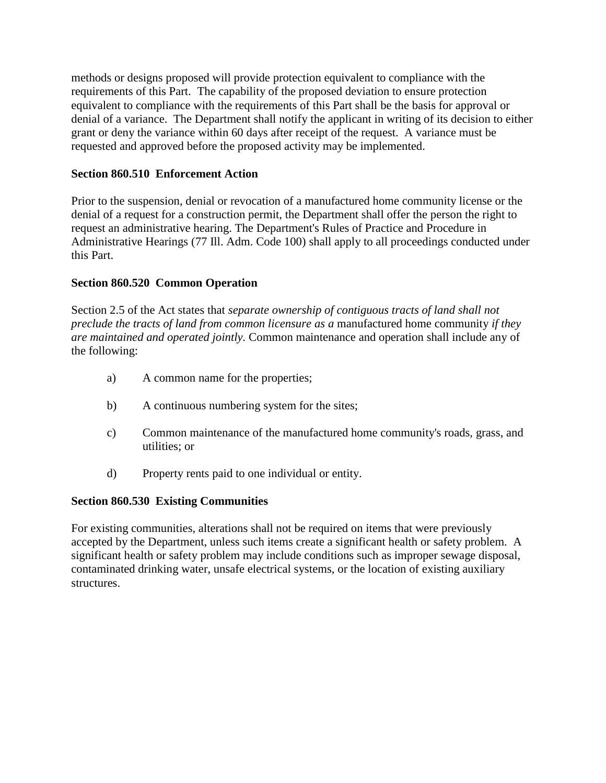methods or designs proposed will provide protection equivalent to compliance with the requirements of this Part. The capability of the proposed deviation to ensure protection equivalent to compliance with the requirements of this Part shall be the basis for approval or denial of a variance. The Department shall notify the applicant in writing of its decision to either grant or deny the variance within 60 days after receipt of the request. A variance must be requested and approved before the proposed activity may be implemented.

## **Section 860.510 Enforcement Action**

Prior to the suspension, denial or revocation of a manufactured home community license or the denial of a request for a construction permit, the Department shall offer the person the right to request an administrative hearing. The Department's Rules of Practice and Procedure in Administrative Hearings (77 Ill. Adm. Code 100) shall apply to all proceedings conducted under this Part.

### **Section 860.520 Common Operation**

Section 2.5 of the Act states that *separate ownership of contiguous tracts of land shall not preclude the tracts of land from common licensure as a* manufactured home community *if they are maintained and operated jointly.* Common maintenance and operation shall include any of the following:

- a) A common name for the properties;
- b) A continuous numbering system for the sites;
- c) Common maintenance of the manufactured home community's roads, grass, and utilities; or
- d) Property rents paid to one individual or entity.

#### **Section 860.530 Existing Communities**

For existing communities, alterations shall not be required on items that were previously accepted by the Department, unless such items create a significant health or safety problem. A significant health or safety problem may include conditions such as improper sewage disposal, contaminated drinking water, unsafe electrical systems, or the location of existing auxiliary structures.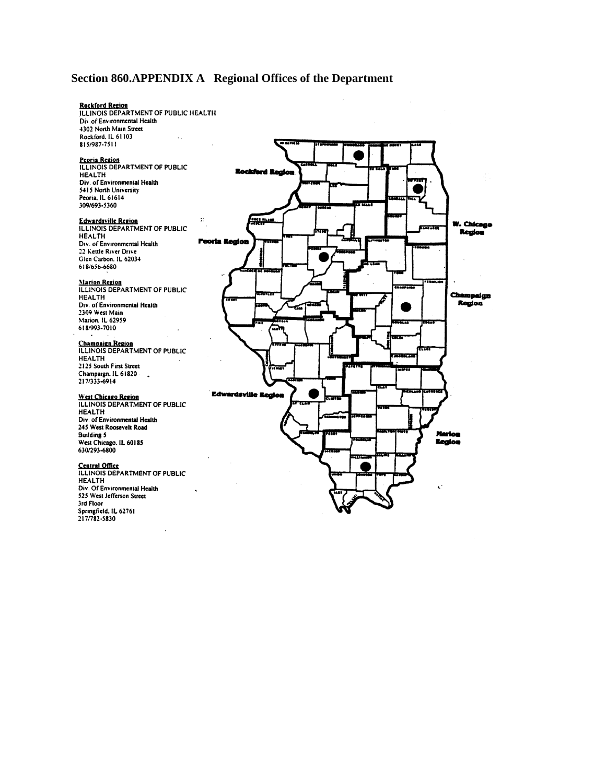## **Section 860.APPENDIX A Regional Offices of the Department**

# **Rockford Region** ILLINOIS DEPARTMENT OF PUBLIC HEALTH Div. of Environmental Health  $\ddotsc$ Peoria Region<br>ILLINOIS DEPARTMENT OF PUBLIC **Rockford Region** Edwardsville Region<br>ILLINOIS DEPARTMENT OF PUBLIC  $\ddot{v}$ EE HLA W. Chicago en. **Region** Peoria Region **Marion Region<br>ILLINOIS DEPARTMENT OF PUBLIC** Champaign<br>Region  $\overline{a}$ Ŧ. **Champaign Region<br>ILLINOIS DEPARTMENT OF PUBLIC**  $\overline{\phantom{a}}$ ÷. **Edwardsville Region** West Chicago Region **ILLINOIS DEPARTMENT OF PUBLIC** æ **Region Central Office**<br>ILLINOIS DEPARTMENT OF PUBLIC  $\mathbf{r}$

4302 North Main Street Rockford, IL 61103 815/987-7511

**HEALTH** Div. of Environmental Health 5415 North University Peoria. IL 61614 309/693-5360

**HEALTH** Div. of Environmental Health 22 Kettle River Drive Glen Carbon. IL 62034 618/656-6680

**HEALTH** Div. of Environmental Health 2309 West Main Marion. IL 62959 618/993-7010

**HEALTH** 2125 South First Street Champaign. IL 61820 217/333-6914

**HEALTH** Div. of Environmental Health 245 West Roosevelt Road **Building 5** West Chicago. IL 60185<br>630/293-6800

**HEALTH** Div. Of Environmental Health 525 West Jefferson Street 3rd Floor Springfield, IL 62761 217/782-5830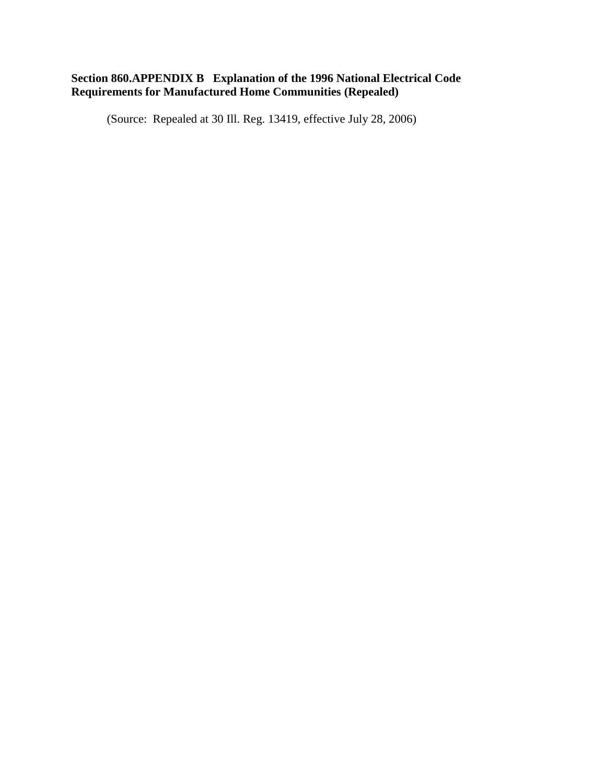#### **Section 860.APPENDIX B Explanation of the 1996 National Electrical Code Requirements for Manufactured Home Communities (Repealed)**

(Source: Repealed at 30 Ill. Reg. 13419, effective July 28, 2006)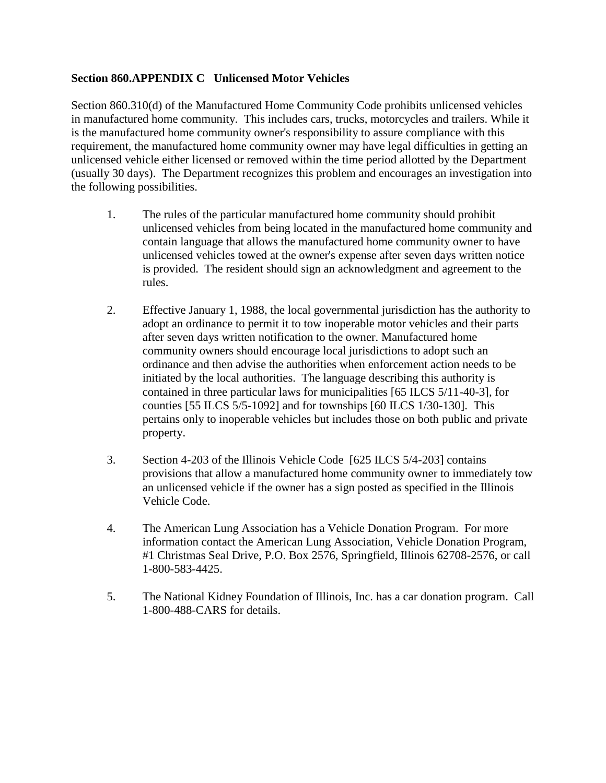### **Section 860.APPENDIX C Unlicensed Motor Vehicles**

Section 860.310(d) of the Manufactured Home Community Code prohibits unlicensed vehicles in manufactured home community. This includes cars, trucks, motorcycles and trailers. While it is the manufactured home community owner's responsibility to assure compliance with this requirement, the manufactured home community owner may have legal difficulties in getting an unlicensed vehicle either licensed or removed within the time period allotted by the Department (usually 30 days). The Department recognizes this problem and encourages an investigation into the following possibilities.

- 1. The rules of the particular manufactured home community should prohibit unlicensed vehicles from being located in the manufactured home community and contain language that allows the manufactured home community owner to have unlicensed vehicles towed at the owner's expense after seven days written notice is provided. The resident should sign an acknowledgment and agreement to the rules.
- 2. Effective January 1, 1988, the local governmental jurisdiction has the authority to adopt an ordinance to permit it to tow inoperable motor vehicles and their parts after seven days written notification to the owner. Manufactured home community owners should encourage local jurisdictions to adopt such an ordinance and then advise the authorities when enforcement action needs to be initiated by the local authorities. The language describing this authority is contained in three particular laws for municipalities [65 ILCS 5/11-40-3], for counties [55 ILCS 5/5-1092] and for townships [60 ILCS 1/30-130]. This pertains only to inoperable vehicles but includes those on both public and private property.
- 3. Section 4-203 of the Illinois Vehicle Code [625 ILCS 5/4-203] contains provisions that allow a manufactured home community owner to immediately tow an unlicensed vehicle if the owner has a sign posted as specified in the Illinois Vehicle Code.
- 4. The American Lung Association has a Vehicle Donation Program. For more information contact the American Lung Association, Vehicle Donation Program, #1 Christmas Seal Drive, P.O. Box 2576, Springfield, Illinois 62708-2576, or call 1-800-583-4425.
- 5. The National Kidney Foundation of Illinois, Inc. has a car donation program. Call 1-800-488-CARS for details.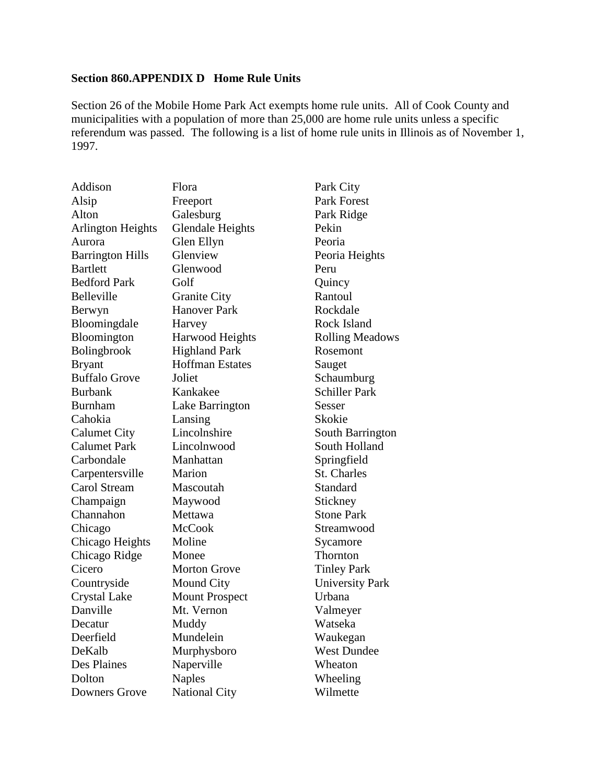## **Section 860.APPENDIX D Home Rule Units**

Section 26 of the Mobile Home Park Act exempts home rule units. All of Cook County and municipalities with a population of more than  $25,000$  are home rule units unless a specific referendum was passed. The following is a list of home rule units in Illinois as of November 1, 1997.

| Addison                  | Flora                   | Park City              |
|--------------------------|-------------------------|------------------------|
| Alsip                    | Freeport                | Park Forest            |
| Alton                    | Galesburg               | Park Ridge             |
| <b>Arlington Heights</b> | <b>Glendale Heights</b> | Pekin                  |
| Aurora                   | Glen Ellyn              | Peoria                 |
| <b>Barrington Hills</b>  | Glenview                | Peoria Heights         |
| <b>Bartlett</b>          | Glenwood                | Peru                   |
| <b>Bedford Park</b>      | Golf                    | Quincy                 |
| Belleville               | <b>Granite City</b>     | Rantoul                |
| Berwyn                   | <b>Hanover Park</b>     | Rockdale               |
| Bloomingdale             | Harvey                  | Rock Island            |
| Bloomington              | Harwood Heights         | <b>Rolling Meadows</b> |
| Bolingbrook              | <b>Highland Park</b>    | Rosemont               |
| <b>Bryant</b>            | <b>Hoffman Estates</b>  | Sauget                 |
| <b>Buffalo Grove</b>     | Joliet                  | Schaumburg             |
| <b>Burbank</b>           | Kankakee                | <b>Schiller Park</b>   |
| <b>Burnham</b>           | Lake Barrington         | Sesser                 |
| Cahokia                  | Lansing                 | Skokie                 |
| <b>Calumet City</b>      | Lincolnshire            | South Barrington       |
| <b>Calumet Park</b>      | Lincolnwood             | South Holland          |
| Carbondale               | Manhattan               | Springfield            |
| Carpentersville          | Marion                  | St. Charles            |
| Carol Stream             | Mascoutah               | Standard               |
| Champaign                | Maywood                 | Stickney               |
| Channahon                | Mettawa                 | <b>Stone Park</b>      |
| Chicago                  | <b>McCook</b>           | Streamwood             |
| Chicago Heights          | Moline                  | Sycamore               |
| Chicago Ridge            | Monee                   | Thornton               |
| Cicero                   | <b>Morton Grove</b>     | <b>Tinley Park</b>     |
| Countryside              | Mound City              | <b>University Park</b> |
| <b>Crystal Lake</b>      | <b>Mount Prospect</b>   | Urbana                 |
| Danville                 | Mt. Vernon              | Valmeyer               |
| Decatur                  | Muddy                   | Watseka                |
| Deerfield                | Mundelein               | Waukegan               |
| DeKalb                   | Murphysboro             | <b>West Dundee</b>     |
| Des Plaines              | Naperville              | Wheaton                |
| Dolton                   | <b>Naples</b>           | Wheeling               |
| <b>Downers Grove</b>     | <b>National City</b>    | Wilmette               |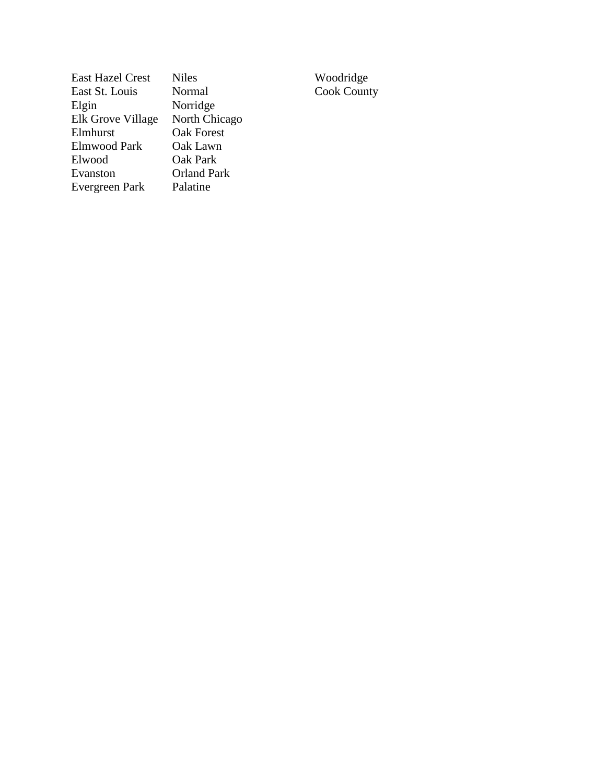| <b>East Hazel Crest</b> | <b>Niles</b>       | Woodridge          |
|-------------------------|--------------------|--------------------|
| East St. Louis          | Normal             | <b>Cook County</b> |
| Elgin                   | Norridge           |                    |
| Elk Grove Village       | North Chicago      |                    |
| Elmhurst                | <b>Oak Forest</b>  |                    |
| <b>Elmwood Park</b>     | Oak Lawn           |                    |
| Elwood                  | Oak Park           |                    |
| Evanston                | <b>Orland Park</b> |                    |
| Evergreen Park          | Palatine           |                    |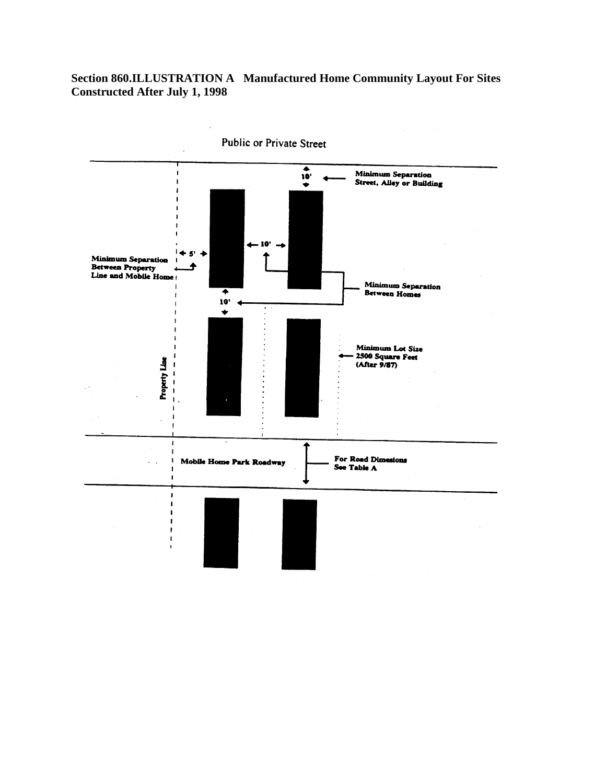## **Section 860.ILLUSTRATION A Manufactured Home Community Layout For Sites Constructed After July 1, 1998**

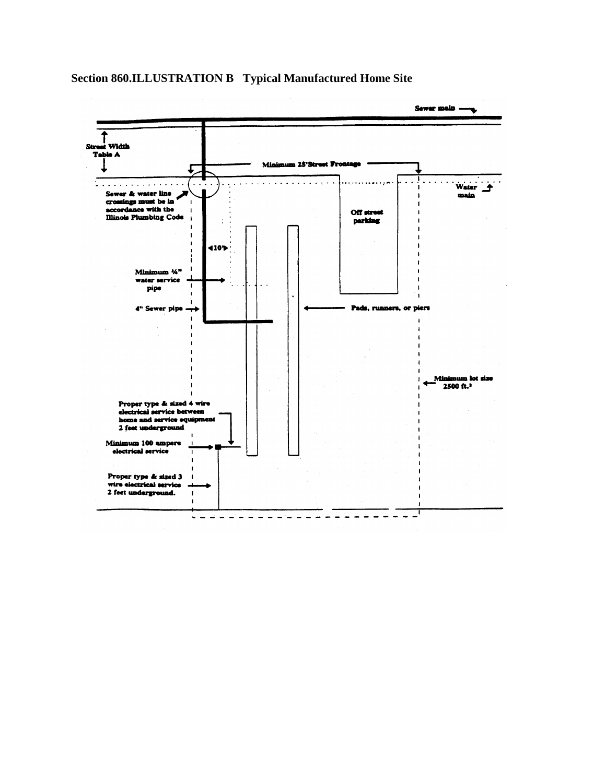**Section 860.ILLUSTRATION B Typical Manufactured Home Site**

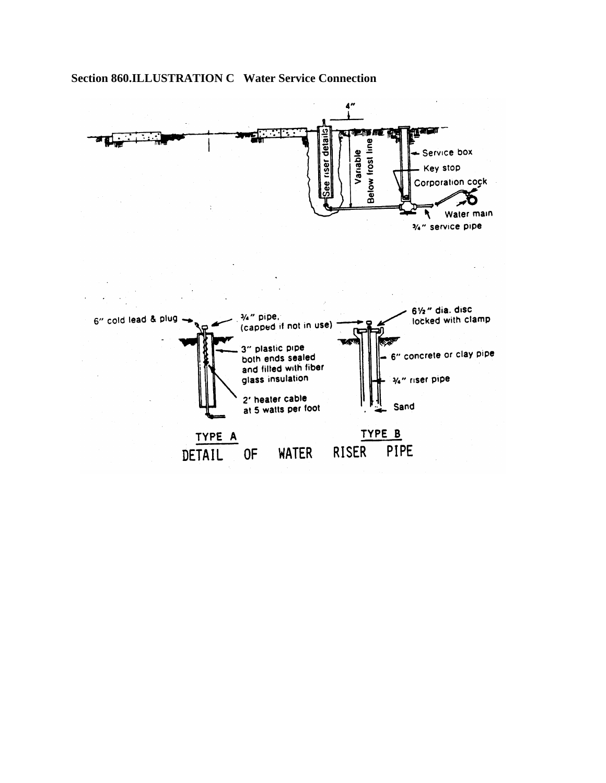

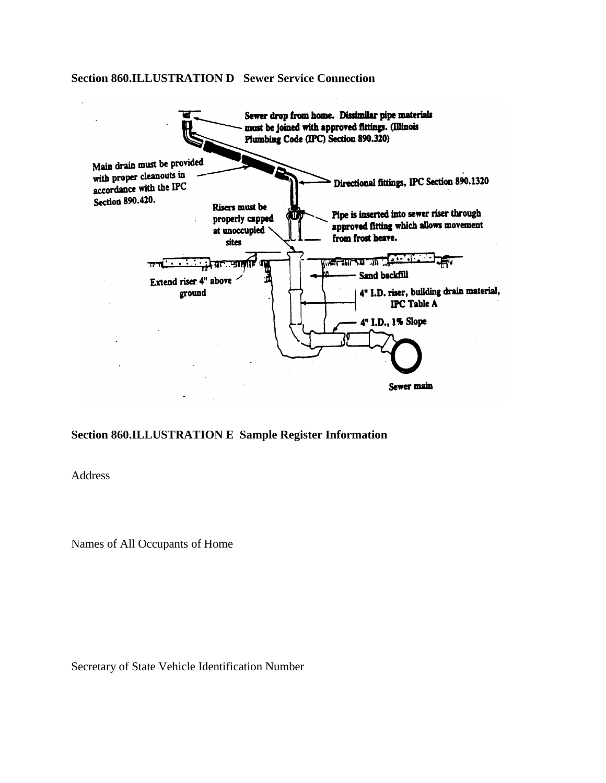#### **Section 860.ILLUSTRATION D Sewer Service Connection**



#### **Section 860.ILLUSTRATION E Sample Register Information**

Address

Names of All Occupants of Home

Secretary of State Vehicle Identification Number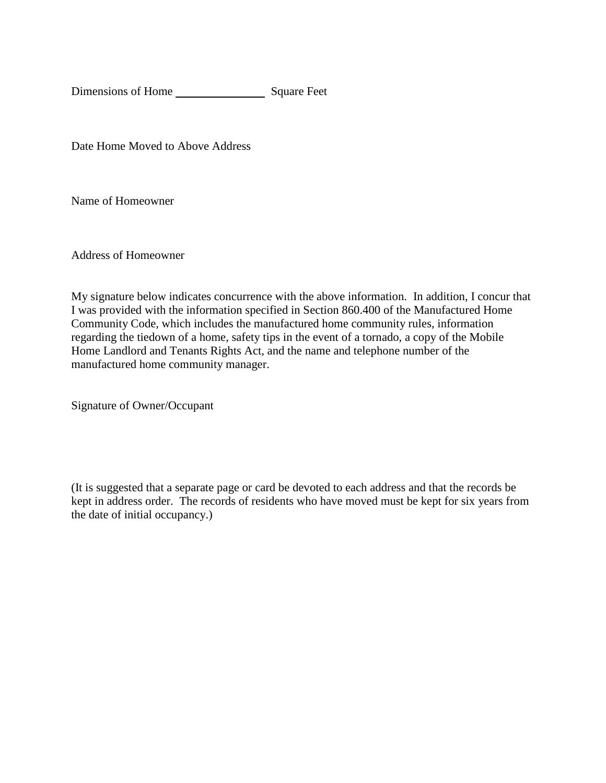Dimensions of Home Square Feet

Date Home Moved to Above Address

Name of Homeowner

Address of Homeowner

My signature below indicates concurrence with the above information. In addition, I concur that I was provided with the information specified in Section 860.400 of the Manufactured Home Community Code, which includes the manufactured home community rules, information regarding the tiedown of a home, safety tips in the event of a tornado, a copy of the Mobile Home Landlord and Tenants Rights Act, and the name and telephone number of the manufactured home community manager.

Signature of Owner/Occupant

(It is suggested that a separate page or card be devoted to each address and that the records be kept in address order. The records of residents who have moved must be kept for six years from the date of initial occupancy.)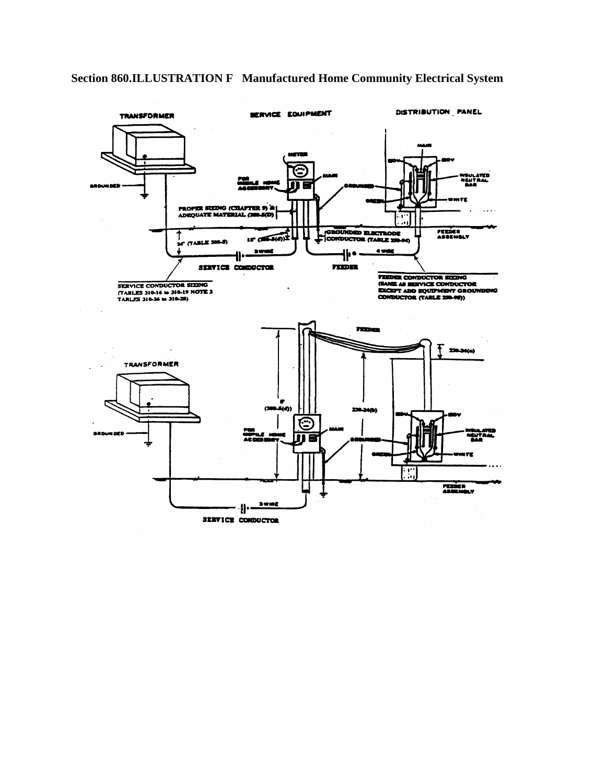

 $15$   $(55.5(6))^2$ 

3191

n. SERVICE CONDUCTOR **CROUNDED ELECTRODE** 

₩∙

**FEDER** 

**PROPER SIZING (CILAPTER 9) &**<br>ADEQUATE MATERIAL (300-5(D)

**EXELES** 

편

 $\cdots$ 

FEEDER<br>ASSEMBLY

# **Section 860.ILLUSTRATION F Manufactured Home Community Electrical System**

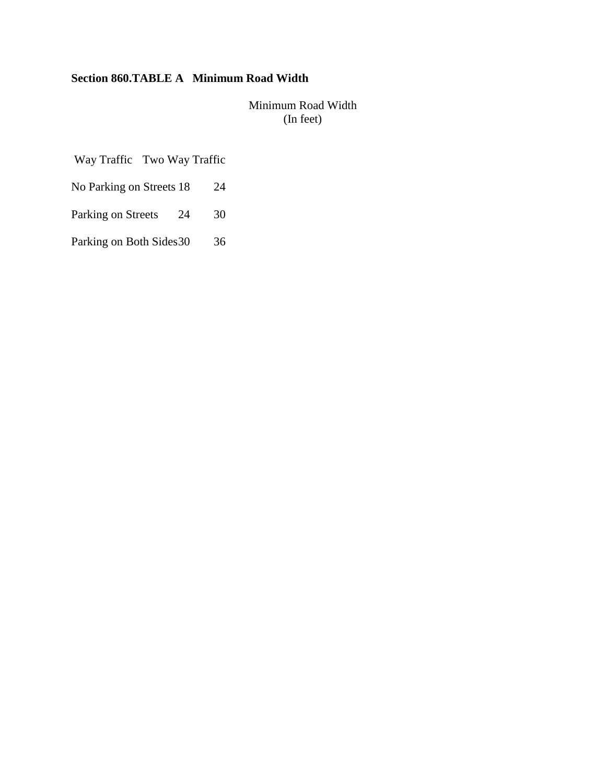# **Section 860.TABLE A Minimum Road Width**

Minimum Road Width (In feet)

Way Traffic Two Way Traffic

- No Parking on Streets 18 24
- Parking on Streets 24 30
- Parking on Both Sides 30 36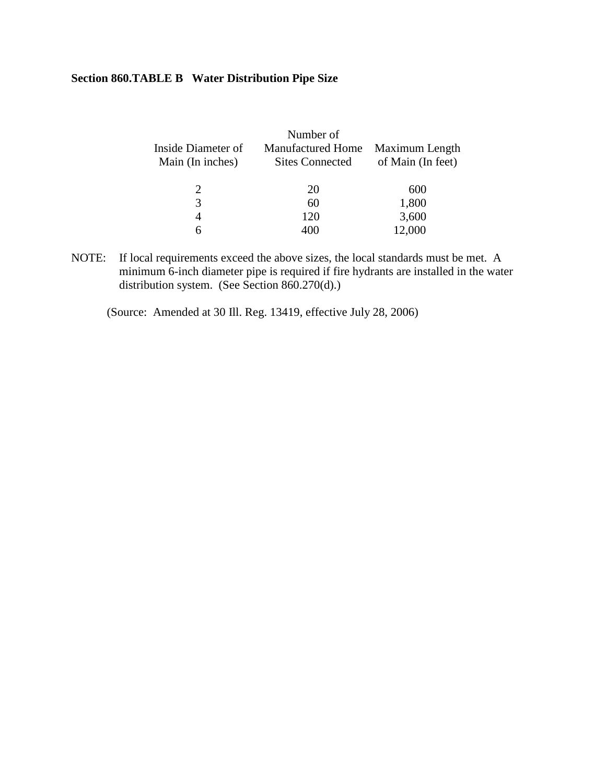## **Section 860.TABLE B Water Distribution Pipe Size**

| Number of                |                   |
|--------------------------|-------------------|
| <b>Manufactured Home</b> | Maximum Length    |
| <b>Sites Connected</b>   | of Main (In feet) |
| 20                       | 600               |
| 60                       | 1,800             |
| 120                      | 3,600             |
| 400                      | 12,000            |
|                          |                   |

NOTE: If local requirements exceed the above sizes, the local standards must be met. A minimum 6-inch diameter pipe is required if fire hydrants are installed in the water distribution system. (See Section 860.270(d).)

(Source: Amended at 30 Ill. Reg. 13419, effective July 28, 2006)